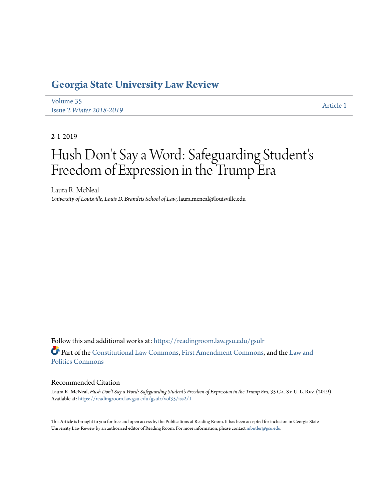# **[Georgia State University Law Review](https://readingroom.law.gsu.edu/gsulr?utm_source=readingroom.law.gsu.edu%2Fgsulr%2Fvol35%2Fiss2%2F1&utm_medium=PDF&utm_campaign=PDFCoverPages)**

[Volume 35](https://readingroom.law.gsu.edu/gsulr/vol35?utm_source=readingroom.law.gsu.edu%2Fgsulr%2Fvol35%2Fiss2%2F1&utm_medium=PDF&utm_campaign=PDFCoverPages) Issue 2 *[Winter 2018-2019](https://readingroom.law.gsu.edu/gsulr/vol35/iss2?utm_source=readingroom.law.gsu.edu%2Fgsulr%2Fvol35%2Fiss2%2F1&utm_medium=PDF&utm_campaign=PDFCoverPages)* [Article 1](https://readingroom.law.gsu.edu/gsulr/vol35/iss2/1?utm_source=readingroom.law.gsu.edu%2Fgsulr%2Fvol35%2Fiss2%2F1&utm_medium=PDF&utm_campaign=PDFCoverPages)

2-1-2019

# Hush Don 't Say a Word: Safeguarding Student' s Freedom of Expression in the Trump Era

Laura R. McNeal *University of Louisville, Louis D. Brandeis School of Law*, laura.mcneal@louisville.edu

Follow this and additional works at: [https://readingroom.law.gsu.edu/gsulr](https://readingroom.law.gsu.edu/gsulr?utm_source=readingroom.law.gsu.edu%2Fgsulr%2Fvol35%2Fiss2%2F1&utm_medium=PDF&utm_campaign=PDFCoverPages) Part of the [Constitutional Law Commons,](http://network.bepress.com/hgg/discipline/589?utm_source=readingroom.law.gsu.edu%2Fgsulr%2Fvol35%2Fiss2%2F1&utm_medium=PDF&utm_campaign=PDFCoverPages) [First Amendment Commons](http://network.bepress.com/hgg/discipline/1115?utm_source=readingroom.law.gsu.edu%2Fgsulr%2Fvol35%2Fiss2%2F1&utm_medium=PDF&utm_campaign=PDFCoverPages), and the [Law and](http://network.bepress.com/hgg/discipline/867?utm_source=readingroom.law.gsu.edu%2Fgsulr%2Fvol35%2Fiss2%2F1&utm_medium=PDF&utm_campaign=PDFCoverPages) [Politics Commons](http://network.bepress.com/hgg/discipline/867?utm_source=readingroom.law.gsu.edu%2Fgsulr%2Fvol35%2Fiss2%2F1&utm_medium=PDF&utm_campaign=PDFCoverPages)

#### Recommended Citation

Laura R. McNeal, *Hush Don't Say a Word: Safeguarding Student's Freedom of Expression in the Trump Era*, 35 Ga. St. U. L. Rev. (2019). Available at: [https://readingroom.law.gsu.edu/gsulr/vol35/iss2/1](https://readingroom.law.gsu.edu/gsulr/vol35/iss2/1?utm_source=readingroom.law.gsu.edu%2Fgsulr%2Fvol35%2Fiss2%2F1&utm_medium=PDF&utm_campaign=PDFCoverPages)

This Article is brought to you for free and open access by the Publications at Reading Room. It has been accepted for inclusion in Georgia State University Law Review by an authorized editor of Reading Room. For more information, please contact [mbutler@gsu.edu.](mailto:mbutler@gsu.edu)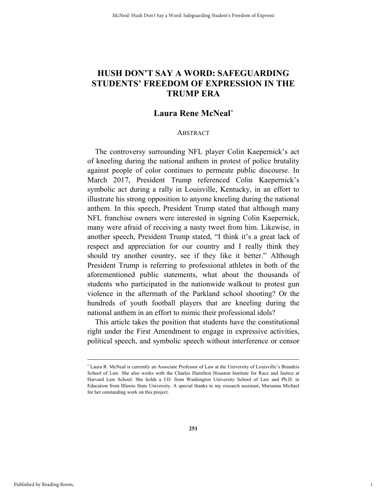# **HUSH DON'T SAY A WORD: SAFEGUARDING STUDENTS' FREEDOM OF EXPRESSION IN THE TRUMP ERA**

# **Laura Rene McNeal***\**

#### **ABSTRACT**

The controversy surrounding NFL player Colin Kaepernick's act of kneeling during the national anthem in protest of police brutality against people of color continues to permeate public discourse. In March 2017, President Trump referenced Colin Kaepernick's symbolic act during a rally in Louisville, Kentucky, in an effort to illustrate his strong opposition to anyone kneeling during the national anthem. In this speech, President Trump stated that although many NFL franchise owners were interested in signing Colin Kaepernick, many were afraid of receiving a nasty tweet from him. Likewise, in another speech, President Trump stated, "I think it's a great lack of respect and appreciation for our country and I really think they should try another country, see if they like it better." Although President Trump is referring to professional athletes in both of the aforementioned public statements, what about the thousands of students who participated in the nationwide walkout to protest gun violence in the aftermath of the Parkland school shooting? Or the hundreds of youth football players that are kneeling during the national anthem in an effort to mimic their professional idols?

This article takes the position that students have the constitutional right under the First Amendment to engage in expressive activities, political speech, and symbolic speech without interference or censor

1

 <sup>\*</sup> Laura R. McNeal is currently an Associate Professor of Law at the University of Louisville's Brandeis School of Law. She also works with the Charles Hamilton Houston Institute for Race and Justice at Harvard Law School. She holds a J.D. from Washington University School of Law and Ph.D. in Education from Illinois State University. A special thanks to my research assistant, Marianna Michael for her outstanding work on this project.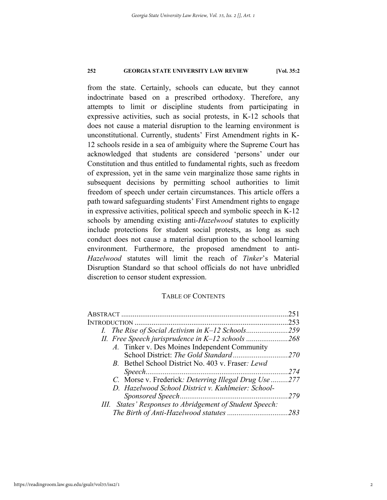from the state. Certainly, schools can educate, but they cannot indoctrinate based on a prescribed orthodoxy. Therefore, any attempts to limit or discipline students from participating in expressive activities, such as social protests, in K-12 schools that does not cause a material disruption to the learning environment is unconstitutional. Currently, students' First Amendment rights in K-12 schools reside in a sea of ambiguity where the Supreme Court has acknowledged that students are considered 'persons' under our Constitution and thus entitled to fundamental rights, such as freedom of expression, yet in the same vein marginalize those same rights in subsequent decisions by permitting school authorities to limit freedom of speech under certain circumstances. This article offers a path toward safeguarding students' First Amendment rights to engage in expressive activities, political speech and symbolic speech in K-12 schools by amending existing anti-*Hazelwood* statutes to explicitly include protections for student social protests, as long as such conduct does not cause a material disruption to the school learning environment. Furthermore, the proposed amendment to anti-*Hazelwood* statutes will limit the reach of *Tinker*'s Material Disruption Standard so that school officials do not have unbridled discretion to censor student expression.

### TABLE OF CONTENTS

|                                                          | 251  |
|----------------------------------------------------------|------|
| <b>INTRODUCTION</b>                                      | 253  |
|                                                          | .259 |
|                                                          |      |
| A. Tinker v. Des Moines Independent Community            |      |
|                                                          |      |
| B. Bethel School District No. 403 v. Fraser: Lewd        |      |
|                                                          | 274  |
| C. Morse v. Frederick: Deterring Illegal Drug Use 277    |      |
| D. Hazelwood School District v. Kuhlmeier: School-       |      |
|                                                          | 279  |
| III. States' Responses to Abridgement of Student Speech: |      |
|                                                          |      |
|                                                          |      |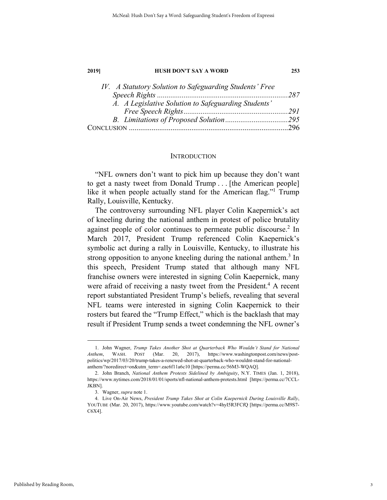| IV. A Statutory Solution to Safeguarding Students' Free |  |
|---------------------------------------------------------|--|
|                                                         |  |
| A. A Legislative Solution to Safeguarding Students'     |  |
|                                                         |  |
|                                                         |  |
|                                                         |  |

#### **INTRODUCTION**

"NFL owners don't want to pick him up because they don't want to get a nasty tweet from Donald Trump . . . [the American people] like it when people actually stand for the American flag."<sup>1</sup> Trump Rally, Louisville, Kentucky.

The controversy surrounding NFL player Colin Kaepernick's act of kneeling during the national anthem in protest of police brutality against people of color continues to permeate public discourse.<sup>2</sup> In March 2017, President Trump referenced Colin Kaepernick's symbolic act during a rally in Louisville, Kentucky, to illustrate his strong opposition to anyone kneeling during the national anthem.<sup>3</sup> In this speech, President Trump stated that although many NFL franchise owners were interested in signing Colin Kaepernick, many were afraid of receiving a nasty tweet from the President.<sup>4</sup> A recent report substantiated President Trump's beliefs, revealing that several NFL teams were interested in signing Colin Kaepernick to their rosters but feared the "Trump Effect," which is the backlash that may result if President Trump sends a tweet condemning the NFL owner's

 <sup>1.</sup> John Wagner, *Trump Takes Another Shot at Quarterback Who Wouldn't Stand for National Anthem*, WASH. POST (Mar. 20, 2017), https://www.washingtonpost.com/news/postpolitics/wp/2017/03/20/trump-takes-a-renewed-shot-at-quarterback-who-wouldnt-stand-for-nationalanthem/?noredirect=on&utm\_term=.eac6f11a6c10 [https://perma.cc/56M3-WQAQ].

 <sup>2.</sup> John Branch, *National Anthem Protests Sidelined by Ambiguity*, N.Y. TIMES (Jan. 1, 2018), https://www.nytimes.com/2018/01/01/sports/nfl-national-anthem-protests.html [https://perma.cc/7CCL-JKBN].

 <sup>3.</sup> Wagner, *supra* note 1.

 <sup>4.</sup> Live On-Air News, *President Trump Takes Shot at Colin Kaepernick During Louisville Rally*, YOUTUBE (Mar. 20, 2017), https://www.youtube.com/watch?v=4hyI5R3FCfQ [https://perma.cc/M9S7- C6X4].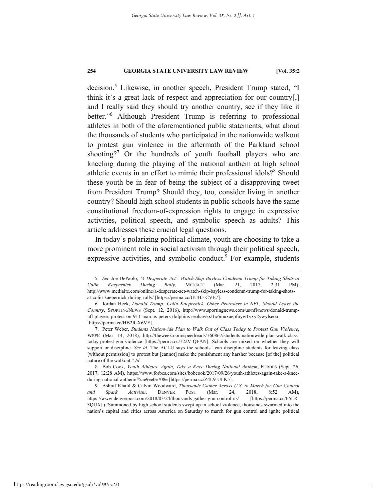decision.<sup>5</sup> Likewise, in another speech, President Trump stated, "I think it's a great lack of respect and appreciation for our country[,] and I really said they should try another country, see if they like it better."6 Although President Trump is referring to professional athletes in both of the aforementioned public statements, what about the thousands of students who participated in the nationwide walkout to protest gun violence in the aftermath of the Parkland school shooting?<sup>7</sup> Or the hundreds of youth football players who are kneeling during the playing of the national anthem at high school athletic events in an effort to mimic their professional idols?<sup>8</sup> Should these youth be in fear of being the subject of a disapproving tweet from President Trump? Should they, too, consider living in another country? Should high school students in public schools have the same constitutional freedom-of-expression rights to engage in expressive activities, political speech, and symbolic speech as adults? This article addresses these crucial legal questions.

In today's polarizing political climate, youth are choosing to take a more prominent role in social activism through their political speech, expressive activities, and symbolic conduct.<sup>9</sup> For example, students

 <sup>5</sup>*. See* Joe DePaolo, *'A Desperate Act': Watch Skip Bayless Condemn Trump for Taking Shots at Colin Kaepernick During Rally*, MEDIATE (Mar. 21, 2017, 2:31 PM), http://www.mediaite.com/online/a-desperate-act-watch-skip-bayless-condemn-trump-for-taking-shotsat-colin-kaepernick-during-rally/ [https://perma.cc/UUB5-CVE7].

 <sup>6.</sup> Jordan Heck, *Donald Trump: Colin Kaepernick, Other Protesters in NFL, Should Leave the Country*, SPORTINGNEWS (Sept. 12, 2016), http://www.sportingnews.com/us/nfl/news/donald-trumpnfl-players-protest-on-911-marcus-peters-dolphins-seahawks/1x6muxaepfnyw1vxy2ywylseoa [https://perma.cc/HB2R-X6VF].

 <sup>7.</sup> Peter Weber, *Students Nationwide Plan to Walk Out of Class Today to Protest Gun Violence*, WEEK (Mar. 14, 2018), http://theweek.com/speedreads/760867/students-nationwide-plan-walk-classtoday-protest-gun-violence [https://perma.cc/722V-QFAN]. Schools are mixed on whether they will support or discipline. *See id.* The ACLU says the schools "can discipline students for leaving class [without permission] to protest but [cannot] make the punishment any harsher because [of the] political nature of the walkout." *Id.*

 <sup>8.</sup> Bob Cook, *Youth Athletes, Again, Take a Knee During National Anthem*, FORBES (Sept. 26, 2017, 12:28 AM), https://www.forbes.com/sites/bobcook/2017/09/26/youth-athletes-again-take-a-kneeduring-national-anthem/#5ae9ee0e708e [https://perma.cc/Z4L9-UFK5].

 <sup>9.</sup> Ashraf Khalil & Calvin Woodward, *Thousands Gather Across U.S. to March for Gun Control and Spark Activism*, DENVER POST (Mar. 24, 2018, 8:52 AM), https://www.denverpost.com/2018/03/24/thousands-gather-gun-control-us/ [https://perma.cc/F5LR-3QUX] ("Summoned by high school students swept up in school violence, thousands swarmed into the nation's capital and cities across America on Saturday to march for gun control and ignite political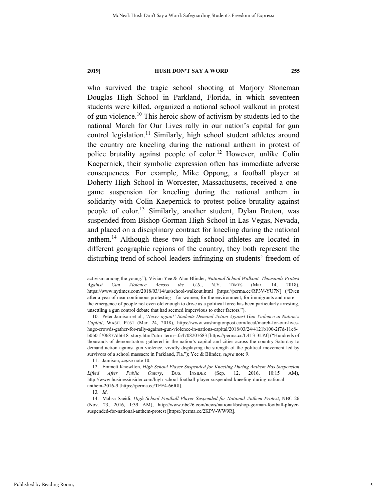who survived the tragic school shooting at Marjory Stoneman Douglas High School in Parkland, Florida, in which seventeen students were killed, organized a national school walkout in protest of gun violence.10 This heroic show of activism by students led to the national March for Our Lives rally in our nation's capital for gun control legislation.<sup>11</sup> Similarly, high school student athletes around the country are kneeling during the national anthem in protest of police brutality against people of color.<sup>12</sup> However, unlike Colin Kaepernick, their symbolic expression often has immediate adverse consequences. For example, Mike Oppong, a football player at Doherty High School in Worcester, Massachusetts, received a onegame suspension for kneeling during the national anthem in solidarity with Colin Kaepernick to protest police brutality against people of color.<sup>13</sup> Similarly, another student, Dylan Bruton, was suspended from Bishop Gorman High School in Las Vegas, Nevada, and placed on a disciplinary contract for kneeling during the national anthem.14 Although these two high school athletes are located in different geographic regions of the country, they both represent the disturbing trend of school leaders infringing on students' freedom of

11. Jamison, *supra* note 10.

13*. Id*.

activism among the young."); Vivian Yee & Alan Blinder, *National School Walkout: Thousands Protest Against Gun Violence Across the U.S.*, N.Y. TIMES (Mar. 14, 2018), https://www.nytimes.com/2018/03/14/us/school-walkout.html [https://perma.cc/RP3V-YU7N] ("Even after a year of near continuous protesting—for women, for the environment, for immigrants and more the emergence of people not even old enough to drive as a political force has been particularly arresting, unsettling a gun control debate that had seemed impervious to other factors.").

<sup>10.</sup> Peter Jamison et al., *'Never again!' Students Demand Action Against Gun Violence in Nation's Capital*, WASH. POST (Mar. 24, 2018), https://www.washingtonpost.com/local/march-for-our-liveshuge-crowds-gather-for-rally-against-gun-violence-in-nations-capital/2018/03/24/4121b100-2f7d-11e8 b0b0-f706877db618\_story.html?utm\_term=.fa4708207683 [https://perma.cc/L4T3-3LPJ] ("Hundreds of thousands of demonstrators gathered in the nation's capital and cities across the country Saturday to demand action against gun violence, vividly displaying the strength of the political movement led by survivors of a school massacre in Parkland, Fla."); Yee & Blinder, *supra* note 9.

 <sup>12.</sup> Emmett Knowlton, *High School Player Suspended for Kneeling During Anthem Has Suspension Lifted After Public Outcry*, BUS. INSIDER (Sep. 12, 2016, 10:15 AM), http://www.businessinsider.com/high-school-football-player-suspended-kneeling-during-nationalanthem-2016-9 [https://perma.cc/TEE4-66R8].

 <sup>14.</sup> Mahsa Saeidi, *High School Football Player Suspended for National Anthem Protest*, NBC 26 (Nov. 23, 2016, 1:39 AM), http://www.nbc26.com/news/national/bishop-gorman-football-playersuspended-for-national-anthem-protest [https://perma.cc/2KPV-WW9R].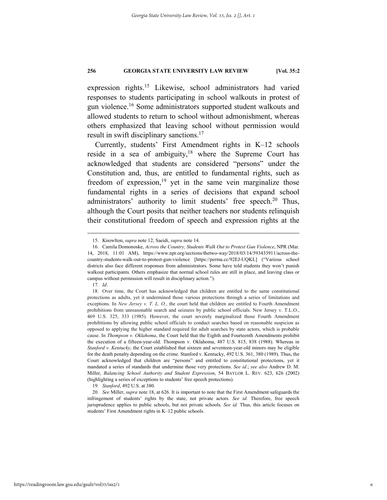expression rights.15 Likewise, school administrators had varied responses to students participating in school walkouts in protest of gun violence.16 Some administrators supported student walkouts and allowed students to return to school without admonishment, whereas others emphasized that leaving school without permission would result in swift disciplinary sanctions.<sup>17</sup>

Currently, students' First Amendment rights in K–12 schools reside in a sea of ambiguity, $18$  where the Supreme Court has acknowledged that students are considered "persons" under the Constitution and, thus, are entitled to fundamental rights, such as freedom of expression,<sup>19</sup> yet in the same vein marginalize those fundamental rights in a series of decisions that expand school administrators' authority to limit students' free speech.<sup>20</sup> Thus, although the Court posits that neither teachers nor students relinquish their constitutional freedom of speech and expression rights at the

19*. Stanford*, 492 U.S. at 380.

 <sup>15.</sup> Knowlton, *supra* note 12; Saeidi, *supra* note 14.

 <sup>16.</sup> Camila Domonoske, *Across the Country, Students Walk Out to Protest Gun Violence*, NPR (Mar. 14, 2018, 11:01 AM), https://www.npr.org/sections/thetwo-way/2018/03/14/593433911/across-thecountry-students-walk-out-to-protest-gun-violence [https://perma.cc/92EJ-UQKL] ("Various school districts also face different responses from administrators. Some have told students they won't punish walkout participants. Others emphasize that normal school rules are still in place, and leaving class or campus without permission will result in disciplinary action.").

<sup>17</sup>*. Id*.

<sup>18.</sup> Over time, the Court has acknowledged that children are entitled to the same constitutional protections as adults, yet it undermined those various protections through a series of limitations and exceptions. In *New Jersey v. T. L. O.*, the court held that children are entitled to Fourth Amendment prohibitions from unreasonable search and seizures by public school officials. New Jersey v. T.L.O., 469 U.S. 325, 333 (1985). However, the court severely marginalized those Fourth Amendment prohibitions by allowing public school officials to conduct searches based on reasonable suspicion as opposed to applying the higher standard required for adult searches by state actors, which is probable cause. In *Thompson v. Oklahoma*, the Court held that the Eighth and Fourteenth Amendments prohibit the execution of a fifteen-year-old. Thompson v. Oklahoma, 487 U.S. 815, 838 (1988). Whereas in *Stanford v. Kentucky*, the Court established that sixteen and seventeen-year-old minors may be eligible for the death penalty depending on the crime. Stanford v. Kentucky, 492 U.S. 361, 380 (1989). Thus, the Court acknowledged that children are "persons" and entitled to constitutional protections, yet it mandated a series of standards that undermine those very protections. *See id.*; *see also* Andrew D. M. Miller, *Balancing School Authority and Student Expression*, 54 BAYLOR L. REV. 623, 626 (2002) (highlighting a series of exceptions to students' free speech protections).

<sup>20</sup>*. See* Miller, *supra* note 18, at 626. It is important to note that the First Amendment safeguards the infringement of students' rights by the state, not private actors. *See id.* Therefore, free speech jurisprudence applies to public schools, but not private schools. *See id.* Thus, this article focuses on students' First Amendment rights in K–12 public schools.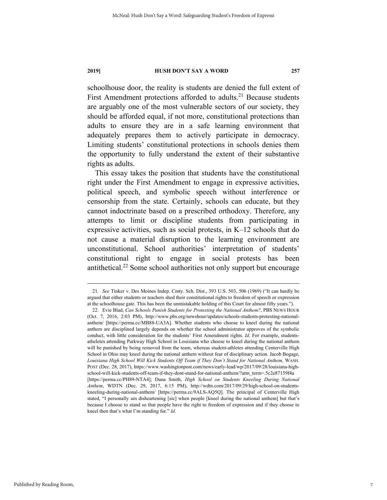schoolhouse door, the reality is students are denied the full extent of First Amendment protections afforded to adults.<sup>21</sup> Because students are arguably one of the most vulnerable sectors of our society, they should be afforded equal, if not more, constitutional protections than adults to ensure they are in a safe learning environment that adequately prepares them to actively participate in democracy. Limiting students' constitutional protections in schools denies them the opportunity to fully understand the extent of their substantive rights as adults.

This essay takes the position that students have the constitutional right under the First Amendment to engage in expressive activities, political speech, and symbolic speech without interference or censorship from the state. Certainly, schools can educate, but they cannot indoctrinate based on a prescribed orthodoxy. Therefore, any attempts to limit or discipline students from participating in expressive activities, such as social protests, in K–12 schools that do not cause a material disruption to the learning environment are unconstitutional. School authorities' interpretation of students' constitutional right to engage in social protests has been antithetical.22 Some school authorities not only support but encourage

 <sup>21</sup>*. See* Tinker v. Des Moines Indep. Cmty. Sch. Dist., 393 U.S. 503, 506 (1969) ("It can hardly be argued that either students or teachers shed their constitutional rights to freedom of speech or expression at the schoolhouse gate. This has been the unmistakable holding of this Court for almost fifty years.").

 <sup>22.</sup> Evie Blad, *Can Schools Punish Students for Protesting the National Anthem?*, PBS NEWS HOUR (Oct. 7, 2016, 2:03 PM), http://www.pbs.org/newshour/updates/schools-students-protesting-nationalanthem/ [https://perma.cc/MB88-UA3A]. Whether students who choose to kneel during the national anthem are disciplined largely depends on whether the school administrator approves of the symbolic conduct, with little consideration for the students' First Amendment rights. *Id.* For example, studentsatheletes attending Parkway High School in Louisiana who choose to kneel during the national anthem will be punished by being removed from the team, whereas student-athletes attending Centerville High School in Ohio may kneel during the national anthem without fear of disciplinary action. Jacob Bogage, *Louisiana High School Will Kick Students Off Team if They Don't Stand for National Anthem*, WASH. POST (Dec. 28, 2017), https://www.washingtonpost.com/news/early-lead/wp/2017/09/28/louisiana-highschool-will-kick-students-off-team-if-they-dont-stand-for-national-anthem/?utm\_term=.5c2e87159f4a [https://perma.cc/PH89-NTA4]; Dana Smith, *High School on Students Kneeling During National Anthem*, WDTN (Dec. 29, 2017, 6:15 PM), http://wdtn.com/2017/09/29/high-school-on-studentskneeling-during-national-anthem/ [https://perma.cc/9ALS-AQ5Q]. The principal of Centerville High stated, "I personally am disheartening [sic] when people [kneel during the national anthem] but that's because I choose to stand so that people have the right to freedom of expression and if they choose to kneel then that's what I'm standing for." *Id.*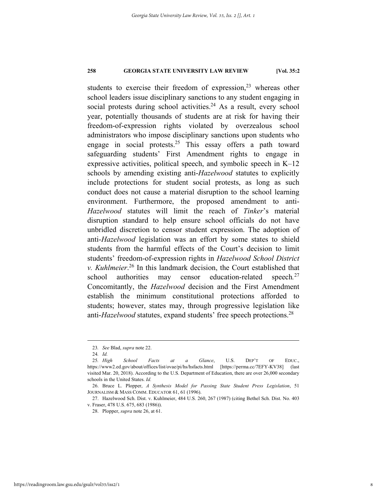students to exercise their freedom of expression,<sup>23</sup> whereas other school leaders issue disciplinary sanctions to any student engaging in social protests during school activities.<sup>24</sup> As a result, every school year, potentially thousands of students are at risk for having their freedom-of-expression rights violated by overzealous school administrators who impose disciplinary sanctions upon students who engage in social protests.<sup>25</sup> This essay offers a path toward safeguarding students' First Amendment rights to engage in expressive activities, political speech, and symbolic speech in K–12 schools by amending existing anti-*Hazelwood* statutes to explicitly include protections for student social protests, as long as such conduct does not cause a material disruption to the school learning environment. Furthermore, the proposed amendment to anti-*Hazelwood* statutes will limit the reach of *Tinker*'s material disruption standard to help ensure school officials do not have unbridled discretion to censor student expression. The adoption of anti-*Hazelwood* legislation was an effort by some states to shield students from the harmful effects of the Court's decision to limit students' freedom-of-expression rights in *Hazelwood School District v. Kuhlmeier*. 26 In this landmark decision, the Court established that school authorities may censor education-related speech. $27$ Concomitantly, the *Hazelwood* decision and the First Amendment establish the minimum constitutional protections afforded to students; however, states may, through progressive legislation like anti-*Hazelwood* statutes, expand students' free speech protections.<sup>28</sup>

 <sup>23</sup>*. See* Blad, *supra* note 22.

<sup>24</sup>*. Id.*

<sup>25</sup>*. High School Facts at a Glance*, U.S. DEP'T OF EDUC., https://www2.ed.gov/about/offices/list/ovae/pi/hs/hsfacts.html [https://perma.cc/7EFY-KV38] (last visited Mar. 20, 2018). According to the U.S. Department of Education, there are over 26,000 secondary schools in the United States. *Id.* 

 <sup>26.</sup> Bruce L. Plopper, *A Synthesis Model for Passing State Student Press Legislation*, 51 JOURNALISM & MASS COMM. EDUCATOR 61, 61 (1996).

 <sup>27.</sup> Hazelwood Sch. Dist. v. Kuhlmeier, 484 U.S. 260, 267 (1987) (citing Bethel Sch. Dist. No. 403 v. Fraser, 478 U.S. 675, 683 (1986)).

 <sup>28.</sup> Plopper, *supra* note 26, at 61.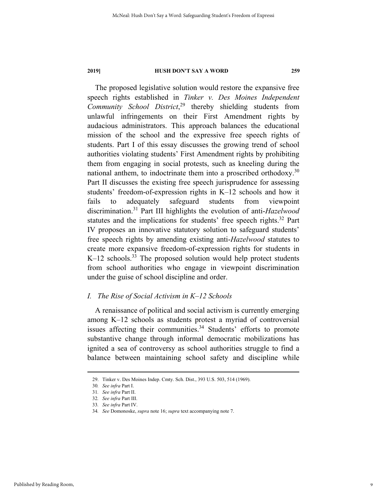The proposed legislative solution would restore the expansive free speech rights established in *Tinker v. Des Moines Independent Community School District*, <sup>29</sup> thereby shielding students from unlawful infringements on their First Amendment rights by audacious administrators. This approach balances the educational mission of the school and the expressive free speech rights of students. Part I of this essay discusses the growing trend of school authorities violating students' First Amendment rights by prohibiting them from engaging in social protests, such as kneeling during the national anthem, to indoctrinate them into a proscribed orthodoxy.<sup>30</sup> Part II discusses the existing free speech jurisprudence for assessing students' freedom-of-expression rights in K–12 schools and how it fails to adequately safeguard students from viewpoint discrimination.31 Part III highlights the evolution of anti-*Hazelwood* statutes and the implications for students' free speech rights.<sup>32</sup> Part IV proposes an innovative statutory solution to safeguard students' free speech rights by amending existing anti-*Hazelwood* statutes to create more expansive freedom-of-expression rights for students in  $K-12$  schools.<sup>33</sup> The proposed solution would help protect students from school authorities who engage in viewpoint discrimination under the guise of school discipline and order.

#### *I. The Rise of Social Activism in K–12 Schools*

A renaissance of political and social activism is currently emerging among K–12 schools as students protest a myriad of controversial issues affecting their communities. $34$  Students' efforts to promote substantive change through informal democratic mobilizations has ignited a sea of controversy as school authorities struggle to find a balance between maintaining school safety and discipline while

 <sup>29.</sup> Tinker v. Des Moines Indep. Cmty. Sch. Dist., 393 U.S. 503, 514 (1969).

<sup>30</sup>*. See infra* Part I.

<sup>31</sup>*. See infra* Part II.

<sup>32</sup>*. See infra* Part III.

<sup>33</sup>*. See infra* Part IV.

<sup>34</sup>*. See* Domonoske, *supra* note 16; *supra* text accompanying note 7.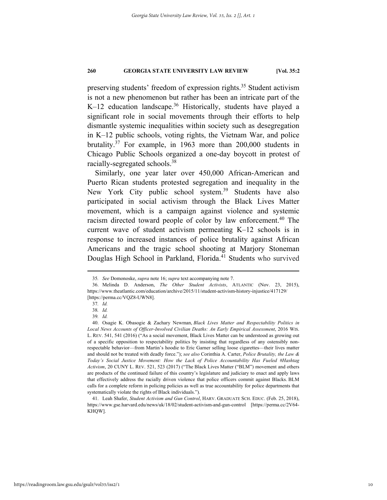preserving students' freedom of expression rights.<sup>35</sup> Student activism is not a new phenomenon but rather has been an intricate part of the K-12 education landscape.<sup>36</sup> Historically, students have played a significant role in social movements through their efforts to help dismantle systemic inequalities within society such as desegregation in K–12 public schools, voting rights, the Vietnam War, and police brutality.37 For example, in 1963 more than 200,000 students in Chicago Public Schools organized a one-day boycott in protest of racially-segregated schools.38

Similarly, one year later over 450,000 African-American and Puerto Rican students protested segregation and inequality in the New York City public school system.<sup>39</sup> Students have also participated in social activism through the Black Lives Matter movement, which is a campaign against violence and systemic racism directed toward people of color by law enforcement.40 The current wave of student activism permeating K–12 schools is in response to increased instances of police brutality against African Americans and the tragic school shooting at Marjory Stoneman Douglas High School in Parkland, Florida.<sup>41</sup> Students who survived

 <sup>35</sup>*. See* Domonoske, *supra* note 16; *supra* text accompanying note 7.

 <sup>36.</sup> Melinda D. Anderson, *The Other Student Activists*, ATLANTIC (Nov. 23, 2015), https://www.theatlantic.com/education/archive/2015/11/student-activism-history-injustice/417129/ [https://perma.cc/VQZ8-UWN8].

<sup>37</sup>*. Id.*

<sup>38</sup>*. Id.*

<sup>39</sup>*. Id.*

 <sup>40.</sup> Osagie K. Obasogie & Zachary Newman, *Black Lives Matter and Respectability Politics in*  Local News Accounts of Officer-Involved Civilian Deaths: An Early Empirical Assessment, 2016 WIS. L. REV. 541, 541 (2016) ("As a social movement, Black Lives Matter can be understood as growing out of a specific opposition to respectability politics by insisting that regardless of any ostensibly nonrespectable behavior—from Martin's hoodie to Eric Garner selling loose cigarettes—their lives matter and should not be treated with deadly force."); *see also* Corinthia A. Carter, *Police Brutality, the Law & Today's Social Justice Movement: How the Lack of Police Accountability Has Fueled #Hashtag Activism*, 20 CUNY L. REV. 521, 523 (2017) ("The Black Lives Matter ("BLM") movement and others are products of the continued failure of this country's legislature and judiciary to enact and apply laws that effectively address the racially driven violence that police officers commit against Blacks. BLM calls for a complete reform in policing policies as well as true accountability for police departments that systematically violate the rights of Black individuals.").

 <sup>41.</sup> Leah Shafer, *Student Activism and Gun Control*, HARV. GRADUATE SCH. EDUC. (Feb. 25, 2018), https://www.gse.harvard.edu/news/uk/18/02/student-activism-and-gun-control [https://perma.cc/2V64- KHQW].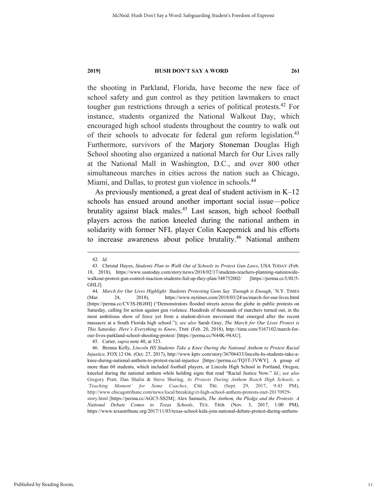the shooting in Parkland, Florida, have become the new face of school safety and gun control as they petition lawmakers to enact tougher gun restrictions through a series of political protests. $42$  For instance, students organized the National Walkout Day, which encouraged high school students throughout the country to walk out of their schools to advocate for federal gun reform legislation.<sup>43</sup> Furthermore, survivors of the Marjory Stoneman Douglas High School shooting also organized a national March for Our Lives rally at the National Mall in Washington, D.C., and over 800 other simultaneous marches in cities across the nation such as Chicago, Miami, and Dallas, to protest gun violence in schools.<sup>44</sup>

As previously mentioned, a great deal of student activism in K–12 schools has ensued around another important social issue—police brutality against black males.45 Last season, high school football players across the nation kneeled during the national anthem in solidarity with former NFL player Colin Kaepernick and his efforts to increase awareness about police brutality.<sup>46</sup> National anthem

 <sup>42</sup>*. Id.*

 <sup>43.</sup> Christal Hayes, *Students Plan to Walk Out of Schools to Protest Gun Laws*, USA TODAY (Feb. 18, 2018), https://www.usatoday.com/story/news/2018/02/17/students-teachers-planning-nationwidewalkout-protest-gun-control-inaction-students-fed-up-they-plan/348752002/ [https://perma.cc/U8U5- GHLJ].

<sup>44</sup>*. March for Our Lives Highlight: Students Protesting Guns Say 'Enough is Enough*,*'* N.Y. TIMES (Mar. 24, 2018), https://www.nytimes.com/2018/03/24/us/march-for-our-lives.html [https://perma.cc/CV3S-HG8H] ("Demonstrators flooded streets across the globe in public protests on Saturday, calling for action against gun violence. Hundreds of thousands of marchers turned out, in the most ambitious show of force yet from a student-driven movement that emerged after the recent massacre at a South Florida high school."); *see also* Sarah Gray, *The March for Our Lives Protest is This Saturday. Here's Everything to Know*, TIME (Feb. 20, 2018), http://time.com/5167102/march-forour-lives-parkland-school-shooting-protest/ [https://perma.cc/N44K-94AU].

 <sup>45.</sup> Carter, *supra* note 40, at 523.

 <sup>46.</sup> Brenna Kelly, *Lincoln HS Students Take a Knee During the National Anthem to Protest Racial Injustice,* FOX 12 OR. (Oct. 27, 2017), http://www.kptv.com/story/36706433/lincoln-hs-students-take-aknee-during-national-anthem-to-protest-racial-injustice [https://perma.cc/TQ3T-3VWY]. A group of more than 60 students, which included football players, at Lincoln High School in Portland, Oregon, kneeled during the national anthem while holding signs that read "Racial Justice Now." *Id.*; *see also*  Gregory Pratt, Dan Shalin & Steve Shering, *As Protests During Anthem Reach High Schools, a 'Teaching Moment' for Some Coaches*, CHI. TRI. (Sept. 29, 2017, 9:43 PM), http://www.chicagotribune.com/news/local/breaking/ct-high-school-anthem-protests-met-20170929 story.html [https://perma.cc/AGC5-SS2M]; Alex Samuels, *The Anthem, the Pledge and the Protests: A National Debate Comes to Texas Schools*, TEX. TRIB. (Nov. 3, 2017, 1:00 PM), https://www.texastribune.org/2017/11/03/texas-school-kids-join-national-debate-protest-during-anthem-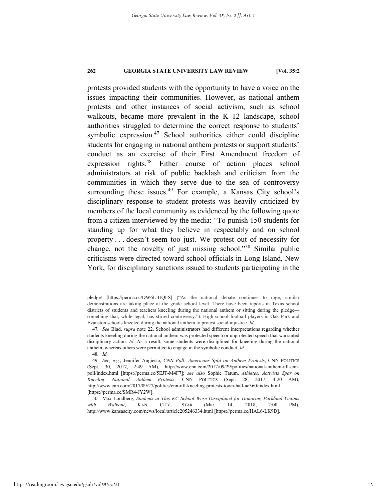protests provided students with the opportunity to have a voice on the issues impacting their communities. However, as national anthem protests and other instances of social activism, such as school walkouts, became more prevalent in the K–12 landscape, school authorities struggled to determine the correct response to students' symbolic expression.<sup>47</sup> School authorities either could discipline students for engaging in national anthem protests or support students' conduct as an exercise of their First Amendment freedom of expression rights.48 Either course of action places school administrators at risk of public backlash and criticism from the communities in which they serve due to the sea of controversy surrounding these issues.<sup>49</sup> For example, a Kansas City school's disciplinary response to student protests was heavily criticized by members of the local community as evidenced by the following quote from a citizen interviewed by the media: "To punish 150 students for standing up for what they believe in respectably and on school property . . . doesn't seem too just. We protest out of necessity for change, not the novelty of just missing school."50 Similar public criticisms were directed toward school officials in Long Island, New York, for disciplinary sanctions issued to students participating in the

pledge/ [https://perma.cc/DW6L-UQFS] ("As the national debate continues to rage, similar demonstrations are taking place at the grade school level. There have been reports in Texas school districts of students and teachers kneeling during the national anthem or sitting during the pledge something that, while legal, has stirred controversy."). High school football players in Oak Park and Evanston schools kneeled during the national anthem to protest social injustice. *Id.*

<sup>47</sup>*. See* Blad, *supra* note 22. School administrators had different interpretations regarding whether students kneeling during the national anthem was protected speech or unprotected speech that warranted disciplinary action. *Id.* As a result, some students were disciplined for kneeling during the national anthem, whereas others were permitted to engage in the symbolic conduct. *Id.*

<sup>48</sup>*. Id.*

<sup>49</sup>*. See, e.g.*, Jennifer Angiesta, *CNN Poll: Americans Split on Anthem Protests*, CNN POLITICS (Sept. 30, 2017, 2:49 AM), http://www.cnn.com/2017/09/29/politics/national-anthem-nfl-cnnpoll/index.html [https://perma.cc/5EJT-M4F7]; *see also* Sophie Tatum, *Athletes, Activists Spar on Kneeling National Anthem Protests*, CNN POLITICS (Sept. 28, 2017, 4:20 AM), http://www.cnn.com/2017/09/27/politics/cnn-nfl-kneeling-protests-town-hall-ac360/index.html [https://perma.cc/SMR4-JY2W].

 <sup>50.</sup> Max Londberg, *Students at This KC School Were Disciplined for Honoring Parkland Victims with Walkout*, KAN. CITY STAR (Mar. 14, 2018, 2:00 PM), http://www.kansascity.com/news/local/article205246334.html [https://perma.cc/HAL6-LK9D].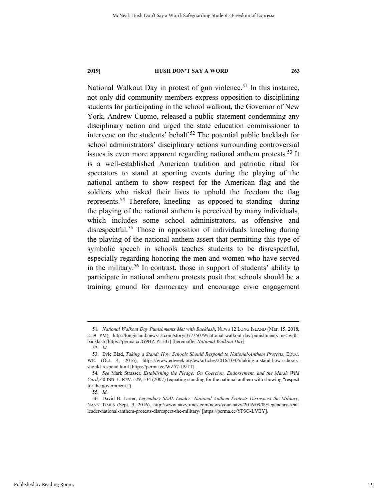National Walkout Day in protest of gun violence.<sup>51</sup> In this instance, not only did community members express opposition to disciplining students for participating in the school walkout, the Governor of New York, Andrew Cuomo, released a public statement condemning any disciplinary action and urged the state education commissioner to intervene on the students' behalf.<sup>52</sup> The potential public backlash for school administrators' disciplinary actions surrounding controversial issues is even more apparent regarding national anthem protests.<sup>53</sup> It is a well-established American tradition and patriotic ritual for spectators to stand at sporting events during the playing of the national anthem to show respect for the American flag and the soldiers who risked their lives to uphold the freedom the flag represents.54 Therefore, kneeling—as opposed to standing—during the playing of the national anthem is perceived by many individuals, which includes some school administrators, as offensive and disrespectful.<sup>55</sup> Those in opposition of individuals kneeling during the playing of the national anthem assert that permitting this type of symbolic speech in schools teaches students to be disrespectful, especially regarding honoring the men and women who have served in the military.<sup>56</sup> In contrast, those in support of students' ability to participate in national anthem protests posit that schools should be a training ground for democracy and encourage civic engagement

 <sup>51</sup>*. National Walkout Day Punishments Met with Backlash*, NEWS 12 LONG ISLAND (Mar. 15, 2018, 2:59 PM), http://longisland.news12.com/story/37735079/national-walkout-day-punishments-met-withbacklash [https://perma.cc/G9HZ-PLHG] [hereinafter *National Walkout Day*].

<sup>52</sup>*. Id.*

 <sup>53.</sup> Evie Blad, *Taking a Stand: How Schools Should Respond to National-Anthem Protests*, EDUC. WK. (Oct. 4, 2016), https://www.edweek.org/ew/articles/2016/10/05/taking-a-stand-how-schoolsshould-respond.html [https://perma.cc/WZ57-U9TT].

<sup>54</sup>*. See* Mark Strasser, *Establishing the Pledge: On Coercion, Endorsement, and the Marsh Wild Card*, 40 IND. L. REV. 529, 534 (2007) (equating standing for the national anthem with showing "respect for the government.").

<sup>55</sup>*. Id.*

 <sup>56.</sup> David B. Larter, *Legendary SEAL Leader: National Anthem Protests Disrespect the Military*, NAVY TIMES (Sept. 9, 2016), http://www.navytimes.com/news/your-navy/2016/09/09/legendary-sealleader-national-anthem-protests-disrespect-the-military/ [https://perma.cc/YP3G-LVBY].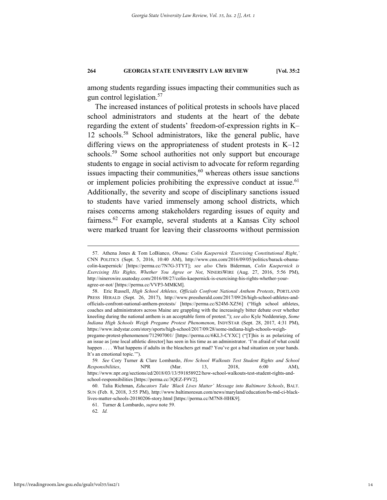among students regarding issues impacting their communities such as gun control legislation.57

The increased instances of political protests in schools have placed school administrators and students at the heart of the debate regarding the extent of students' freedom-of-expression rights in K– 12 schools.58 School administrators, like the general public, have differing views on the appropriateness of student protests in K–12 schools.<sup>59</sup> Some school authorities not only support but encourage students to engage in social activism to advocate for reform regarding issues impacting their communities, $60$  whereas others issue sanctions or implement policies prohibiting the expressive conduct at issue.<sup>61</sup> Additionally, the severity and scope of disciplinary sanctions issued to students have varied immensely among school districts, which raises concerns among stakeholders regarding issues of equity and fairness.62 For example, several students at a Kansas City school were marked truant for leaving their classrooms without permission

61. Turner & Lombardo, *supra* note 59.

62*. Id.*

 <sup>57.</sup> Athena Jones & Tom LoBianco, *Obama: Colin Kaepernick 'Exercising Constitutional Right*,*'* CNN POLITICS (Sept. 5, 2016, 10:40 AM), http://www.cnn.com/2016/09/05/politics/barack-obamacolin-kaepernick/ [https://perma.cc/7N7G-3TYT]; *see also* Chris Biderman, *Colin Kaepernick is Exercising His Rights, Whether You Agree or Not*, NINERSWIRE (Aug. 27, 2016, 5:56 PM), http://ninerswire.usatoday.com/2016/08/27/colin-kaepernick-is-exercising-his-rights-whether-youragree-or-not/ [https://perma.cc/VVP3-MMKM].

 <sup>58.</sup> Eric Russell, *High School Athletes, Officials Confront National Anthem Protests*, PORTLAND PRESS HERALD (Sept. 26, 2017), http://www.pressherald.com/2017/09/26/high-school-athletes-andofficials-confront-national-anthem-protests/ [https://perma.cc/S24M-XZ56] ("High school athletes, coaches and administrators across Maine are grappling with the increasingly bitter debate over whether kneeling during the national anthem is an acceptable form of protest."); *see also* Kyle Neddenriep, *Some Indiana High Schools Weigh Pregame Protest Phenomenon*, INDYSTAR (Sept. 28, 2017, 4:31 PM), https://www.indystar.com/story/sports/high-school/2017/09/28/some-indiana-high-schools-weigh-

pregame-protest-phenomenon/712907001/ [https://perma.cc/6KL3-CYXC] ("[T]his is as polarizing of an issue as [one local athletic director] has seen in his time as an administrator. 'I'm afraid of what could happen . . . . What happens if adults in the bleachers get mad? You've got a bad situation on your hands. It's an emotional topic.'").

<sup>59</sup>*. See* Cory Turner & Clare Lombardo, *How School Walkouts Test Student Rights and School Responsibilities*, NPR (Mar. 13, 2018, 6:00 AM), https://www.npr.org/sections/ed/2018/03/13/591858922/how-school-walkouts-test-student-rights-andschool-responsibilities [https://perma.cc/3QEZ-F9V2].

 <sup>60.</sup> Talia Richman, *Educators Take 'Black Lives Matter' Message into Baltimore Schools*, BALT. SUN (Feb. 8, 2018, 3:55 PM), http://www.baltimoresun.com/news/maryland/education/bs-md-ci-blacklives-matter-schools-20180206-story.html [https://perma.cc/M7N8-HHK9].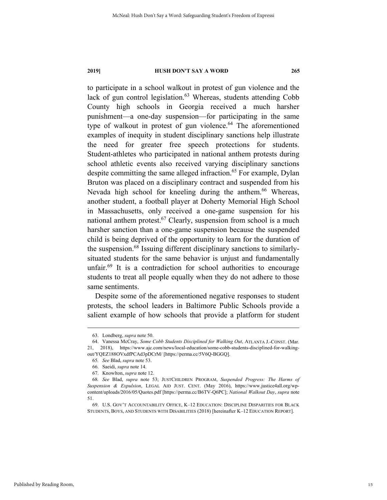to participate in a school walkout in protest of gun violence and the lack of gun control legislation. $63$  Whereas, students attending Cobb County high schools in Georgia received a much harsher punishment—a one-day suspension—for participating in the same type of walkout in protest of gun violence.<sup>64</sup> The aforementioned examples of inequity in student disciplinary sanctions help illustrate the need for greater free speech protections for students. Student-athletes who participated in national anthem protests during school athletic events also received varying disciplinary sanctions despite committing the same alleged infraction.<sup>65</sup> For example, Dylan Bruton was placed on a disciplinary contract and suspended from his Nevada high school for kneeling during the anthem.<sup>66</sup> Whereas, another student, a football player at Doherty Memorial High School in Massachusetts, only received a one-game suspension for his national anthem protest.<sup>67</sup> Clearly, suspension from school is a much harsher sanction than a one-game suspension because the suspended child is being deprived of the opportunity to learn for the duration of the suspension.68 Issuing different disciplinary sanctions to similarlysituated students for the same behavior is unjust and fundamentally unfair.<sup>69</sup> It is a contradiction for school authorities to encourage students to treat all people equally when they do not adhere to those same sentiments.

Despite some of the aforementioned negative responses to student protests, the school leaders in Baltimore Public Schools provide a salient example of how schools that provide a platform for student

 <sup>63.</sup> Londberg, *supra* note 50.

 <sup>64.</sup> Vanessa McCray, *Some Cobb Students Disciplined for Walking Out*, ATLANTA J.-CONST. (Mar. 21, 2018), https://www.ajc.com/news/local-education/some-cobb-students-disciplined-for-walkingout/YQEZ188OVxdfPCAd3pDCrM/ [https://perma.cc/5V6Q-BGGQ].

<sup>65</sup>*. See* Blad, *supra* note 53.

 <sup>66.</sup> Saeidi, *supra* note 14.

 <sup>67.</sup> Knowlton, *supra* note 12.

<sup>68</sup>*. See* Blad, *supra* note 53; JUSTCHILDREN PROGRAM, *Suspended Progress: The Harms of Suspension & Expulsion*, LEGAL AID JUST. CENT. (May 2016), https://www.justice4all.org/wpcontent/uploads/2016/05/Quotes.pdf [https://perma.cc/B6TV-Q6PC]; *National Walkout Day*, *supra* note 51.

 <sup>69.</sup> U.S. GOV'T ACCOUNTABILITY OFFICE, K–12 EDUCATION: DISCIPLINE DISPARITIES FOR BLACK STUDENTS, BOYS, AND STUDENTS WITH DISABILITIES (2018) [hereinafter K–12 EDUCATION REPORT].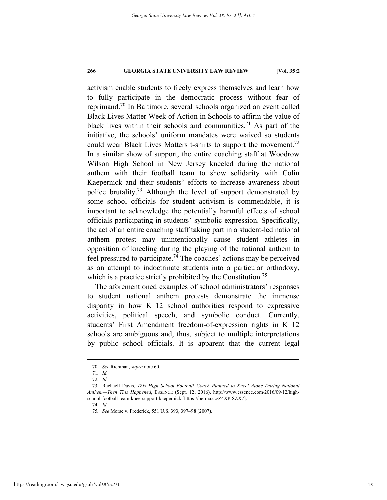activism enable students to freely express themselves and learn how to fully participate in the democratic process without fear of reprimand.70 In Baltimore, several schools organized an event called Black Lives Matter Week of Action in Schools to affirm the value of black lives within their schools and communities.<sup>71</sup> As part of the initiative, the schools' uniform mandates were waived so students could wear Black Lives Matters t-shirts to support the movement.<sup>72</sup> In a similar show of support, the entire coaching staff at Woodrow Wilson High School in New Jersey kneeled during the national anthem with their football team to show solidarity with Colin Kaepernick and their students' efforts to increase awareness about police brutality.<sup>73</sup> Although the level of support demonstrated by some school officials for student activism is commendable, it is important to acknowledge the potentially harmful effects of school officials participating in students' symbolic expression. Specifically, the act of an entire coaching staff taking part in a student-led national anthem protest may unintentionally cause student athletes in opposition of kneeling during the playing of the national anthem to feel pressured to participate.<sup>74</sup> The coaches' actions may be perceived as an attempt to indoctrinate students into a particular orthodoxy, which is a practice strictly prohibited by the Constitution.<sup>75</sup>

The aforementioned examples of school administrators' responses to student national anthem protests demonstrate the immense disparity in how K–12 school authorities respond to expressive activities, political speech, and symbolic conduct. Currently, students' First Amendment freedom-of-expression rights in K–12 schools are ambiguous and, thus, subject to multiple interpretations by public school officials. It is apparent that the current legal

 <sup>70</sup>*. See* Richman, *supra* note 60.

<sup>71</sup>*. Id.*

<sup>72</sup>*. Id.*

 <sup>73.</sup> Rachaell Davis, *This High School Football Coach Planned to Kneel Alone During National Anthem—Then This Happened*, ESSENCE (Sept. 12, 2016), http://www.essence.com/2016/09/12/highschool-football-team-knee-support-kaepernick [https://perma.cc/Z4XP-SZX7].

<sup>74</sup>*. Id*.

<sup>75</sup>*. See* Morse v. Frederick, 551 U.S. 393, 397–98 (2007).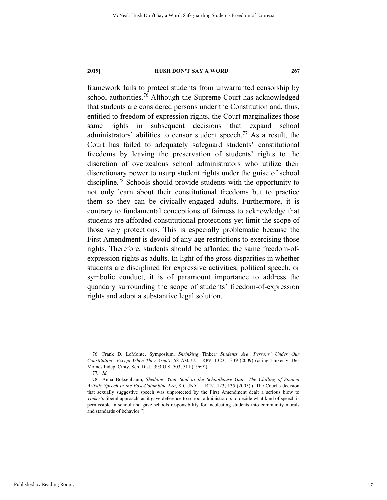framework fails to protect students from unwarranted censorship by school authorities.<sup>76</sup> Although the Supreme Court has acknowledged that students are considered persons under the Constitution and, thus, entitled to freedom of expression rights, the Court marginalizes those same rights in subsequent decisions that expand school administrators' abilities to censor student speech.<sup>77</sup> As a result, the Court has failed to adequately safeguard students' constitutional freedoms by leaving the preservation of students' rights to the discretion of overzealous school administrators who utilize their discretionary power to usurp student rights under the guise of school discipline.78 Schools should provide students with the opportunity to not only learn about their constitutional freedoms but to practice them so they can be civically-engaged adults. Furthermore, it is contrary to fundamental conceptions of fairness to acknowledge that students are afforded constitutional protections yet limit the scope of those very protections. This is especially problematic because the First Amendment is devoid of any age restrictions to exercising those rights. Therefore, students should be afforded the same freedom-ofexpression rights as adults. In light of the gross disparities in whether students are disciplined for expressive activities, political speech, or symbolic conduct, it is of paramount importance to address the quandary surrounding the scope of students' freedom-of-expression rights and adopt a substantive legal solution.

 <sup>76.</sup> Frank D. LoMonte, Symposium, *Shrinking* Tinker*: Students Are 'Persons' Under Our Constitution—Except When They Aren't*, 58 AM. U.L. REV. 1323, 1339 (2009) (citing Tinker v. Des Moines Indep. Cmty. Sch. Dist., 393 U.S. 503, 511 (1969)).

<sup>77</sup>*. Id.*

 <sup>78.</sup> Anna Boksenbaum, *Shedding Your Soul at the Schoolhouse Gate: The Chilling of Student Artistic Speech in the Post-Columbine Era*, 8 CUNY L. REV. 123, 135 (2005) ("The Court's decision that sexually suggestive speech was unprotected by the First Amendment dealt a serious blow to *Tinker*'s liberal approach, as it gave deference to school administrators to decide what kind of speech is permissible in school and gave schools responsibility for inculcating students into community morals and standards of behavior.").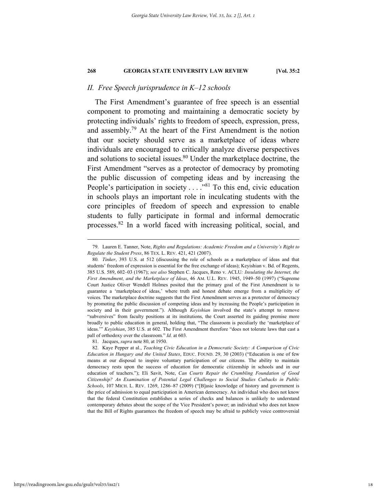#### *II. Free Speech jurisprudence in K–12 schools*

The First Amendment's guarantee of free speech is an essential component to promoting and maintaining a democratic society by protecting individuals' rights to freedom of speech, expression, press, and assembly.79 At the heart of the First Amendment is the notion that our society should serve as a marketplace of ideas where individuals are encouraged to critically analyze diverse perspectives and solutions to societal issues.80 Under the marketplace doctrine, the First Amendment "serves as a protector of democracy by promoting the public discussion of competing ideas and by increasing the People's participation in society . . . . "<sup>81</sup> To this end, civic education in schools plays an important role in inculcating students with the core principles of freedom of speech and expression to enable students to fully participate in formal and informal democratic processes.82 In a world faced with increasing political, social, and

 <sup>79.</sup> Lauren E. Tanner, Note, *Rights and Regulations: Academic Freedom and a University's Right to Regulate the Student Press*, 86 TEX. L. REV. 421, 421 (2007).

<sup>80</sup>*. Tinker*, 393 U.S. at 512 (discussing the role of schools as a marketplace of ideas and that students' freedom of expression is essential for the free exchange of ideas); Keyishian v. Bd. of Regents, 385 U.S. 589, 602–03 (1967); *see also* Stephen C. Jacques, Reno v. ACLU*: Insulating the Internet, the First Amendment, and the Marketplace of Ideas*, 46 AM. U.L. REV. 1945, 1949–50 (1997) ("Supreme Court Justice Oliver Wendell Holmes posited that the primary goal of the First Amendment is to guarantee a 'marketplace of ideas,' where truth and honest debate emerge from a multiplicity of voices. The marketplace doctrine suggests that the First Amendment serves as a protector of democracy by promoting the public discussion of competing ideas and by increasing the People's participation in society and in their government."). Although *Keyishian* involved the state's attempt to remove "subversives" from faculty positions at its institutions, the Court asserted its guiding premise more broadly to public education in general, holding that, "The classroom is peculiarly the 'marketplace of ideas.'" *Keyishian*, 385 U.S. at 602. The First Amendment therefore "does not tolerate laws that cast a pall of orthodoxy over the classroom." *Id.* at 603.

 <sup>81.</sup> Jacques, *supra* note 80, at 1950.

 <sup>82.</sup> Kaye Pepper at al., *Teaching Civic Education in a Democratic Society: A Comparison of Civic Education in Hungary and the United States*, EDUC. FOUND. 29, 30 (2003) ("Education is one of few means at our disposal to inspire voluntary participation of our citizens. The ability to maintain democracy rests upon the success of education for democratic citizenship in schools and in our education of teachers."); Eli Savit, Note, *Can Courts Repair the Crumbling Foundation of Good Citizenship? An Examination of Potential Legal Challenges to Social Studies Cutbacks in Public Schools*, 107 MICH. L. REV. 1269, 1286–87 (2009) ("[B]asic knowledge of history and government is the price of admission to equal participation in American democracy. An individual who does not know that the federal Constitution establishes a series of checks and balances is unlikely to understand contemporary debates about the scope of the Vice President's power; an individual who does not know that the Bill of Rights guarantees the freedom of speech may be afraid to publicly voice controversial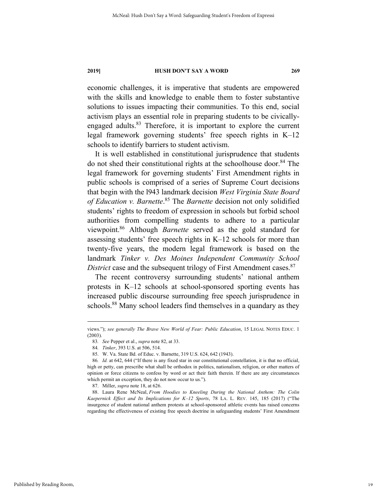economic challenges, it is imperative that students are empowered with the skills and knowledge to enable them to foster substantive solutions to issues impacting their communities. To this end, social activism plays an essential role in preparing students to be civicallyengaged adults.<sup>83</sup> Therefore, it is important to explore the current legal framework governing students' free speech rights in K–12 schools to identify barriers to student activism.

It is well established in constitutional jurisprudence that students do not shed their constitutional rights at the schoolhouse door. 84 The legal framework for governing students' First Amendment rights in public schools is comprised of a series of Supreme Court decisions that begin with the l943 landmark decision *West Virginia State Board of Education v. Barnette*. 85 The *Barnette* decision not only solidified students' rights to freedom of expression in schools but forbid school authorities from compelling students to adhere to a particular viewpoint.86 Although *Barnette* served as the gold standard for assessing students' free speech rights in K–12 schools for more than twenty-five years, the modern legal framework is based on the landmark *Tinker v. Des Moines Independent Community School District* case and the subsequent trilogy of First Amendment cases.<sup>87</sup>

The recent controversy surrounding students' national anthem protests in K–12 schools at school-sponsored sporting events has increased public discourse surrounding free speech jurisprudence in schools.<sup>88</sup> Many school leaders find themselves in a quandary as they

views."); *see generally The Brave New World of Fear: Public Education*, 15 LEGAL NOTES EDUC. 1 (2003).

<sup>83</sup>*. See* Pepper et al., *supra* note 82, at 33.

<sup>84</sup>*. Tinker*, 393 U.S. at 506, 514.

 <sup>85.</sup> W. Va. State Bd. of Educ. v. Barnette, 319 U.S. 624, 642 (1943).

<sup>86</sup>*. Id.* at 642, 644 ("If there is any fixed star in our constitutional constellation, it is that no official, high or petty, can prescribe what shall be orthodox in politics, nationalism, religion, or other matters of opinion or force citizens to confess by word or act their faith therein. If there are any circumstances which permit an exception, they do not now occur to us.").

 <sup>87.</sup> Miller, *supra* note 18, at 626.

 <sup>88.</sup> Laura Rene McNeal, *From Hoodies to Kneeling During the National Anthem: The Colin Kaepernick Effect and Its Implications for K–12 Sports*, 78 LA. L. REV. 145, 185 (2017) ("The insurgence of student national anthem protests at school-sponsored athletic events has raised concerns regarding the effectiveness of existing free speech doctrine in safeguarding students' First Amendment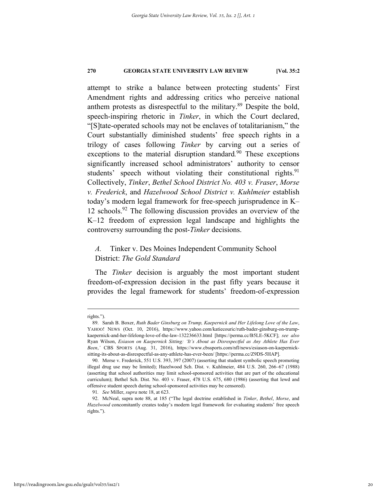attempt to strike a balance between protecting students' First Amendment rights and addressing critics who perceive national anthem protests as disrespectful to the military.89 Despite the bold, speech-inspiring rhetoric in *Tinker*, in which the Court declared, "[S]tate-operated schools may not be enclaves of totalitarianism," the Court substantially diminished students' free speech rights in a trilogy of cases following *Tinker* by carving out a series of exceptions to the material disruption standard*.* 90 These exceptions significantly increased school administrators' authority to censor students' speech without violating their constitutional rights.<sup>91</sup> Collectively, *Tinker*, *Bethel School District No. 403 v. Fraser*, *Morse v. Frederick*, and *Hazelwood School District v. Kuhlmeier* establish today's modern legal framework for free-speech jurisprudence in K– 12 schools.<sup>92</sup> The following discussion provides an overview of the K–12 freedom of expression legal landscape and highlights the controversy surrounding the post-*Tinker* decisions.

# *A.* Tinker v. Des Moines Independent Community School District: *The Gold Standard*

The *Tinker* decision is arguably the most important student freedom-of-expression decision in the past fifty years because it provides the legal framework for students' freedom-of-expression

rights.").

 <sup>89.</sup> Sarah B. Boxer, *Ruth Bader Ginsburg on Trump, Kaepernick and Her Lifelong Love of the Law*, YAHOO! NEWS (Oct. 10, 2016), https://www.yahoo.com/katiecouric/ruth-bader-ginsburg-on-trumpkaepernick-and-her-lifelong-love-of-the-law-132236633.html [https://perma.cc/B5LE-5KCF]; *see also*  Ryan Wilson, *Esiason on Kaepernick Sitting: 'It's About as Disrespectful as Any Athlete Has Ever Been*,*'* CBS SPORTS (Aug. 31, 2016), https://www.cbssports.com/nfl/news/esiason-on-kaepernicksitting-its-about-as-disrespectful-as-any-athlete-has-ever-been/ [https://perma.cc/Z9DS-5HAP].

 <sup>90.</sup> Morse v. Frederick, 551 U.S. 393, 397 (2007) (asserting that student symbolic speech promoting illegal drug use may be limited); Hazelwood Sch. Dist. v. Kuhlmeier, 484 U.S. 260, 266–67 (1988) (asserting that school authorities may limit school-sponsored activities that are part of the educational curriculum); Bethel Sch. Dist. No. 403 v. Fraser, 478 U.S. 675, 680 (1986) (asserting that lewd and offensive student speech during school-sponsored activities may be censored).

<sup>91</sup>*. See* Miller, *supra* note 18, at 623.

 <sup>92.</sup> McNeal, supra note 88, at 185 ("The legal doctrine established in *Tinker*, *Bethel*, *Morse*, and *Hazelwood* concomitantly creates today's modern legal framework for evaluating students' free speech rights.").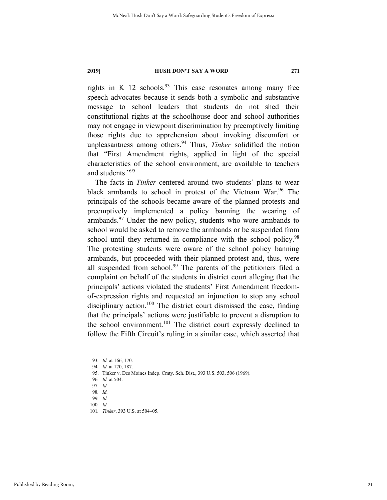rights in K–12 schools.<sup>93</sup> This case resonates among many free speech advocates because it sends both a symbolic and substantive message to school leaders that students do not shed their constitutional rights at the schoolhouse door and school authorities may not engage in viewpoint discrimination by preemptively limiting those rights due to apprehension about invoking discomfort or unpleasantness among others.<sup>94</sup> Thus, *Tinker* solidified the notion that "First Amendment rights, applied in light of the special characteristics of the school environment, are available to teachers and students."<sup>95</sup>

The facts in *Tinker* centered around two students' plans to wear black armbands to school in protest of the Vietnam War.<sup>96</sup> The principals of the schools became aware of the planned protests and preemptively implemented a policy banning the wearing of armbands.97 Under the new policy, students who wore armbands to school would be asked to remove the armbands or be suspended from school until they returned in compliance with the school policy.<sup>98</sup> The protesting students were aware of the school policy banning armbands, but proceeded with their planned protest and, thus, were all suspended from school.<sup>99</sup> The parents of the petitioners filed a complaint on behalf of the students in district court alleging that the principals' actions violated the students' First Amendment freedomof-expression rights and requested an injunction to stop any school disciplinary action.<sup>100</sup> The district court dismissed the case, finding that the principals' actions were justifiable to prevent a disruption to the school environment.<sup>101</sup> The district court expressly declined to follow the Fifth Circuit's ruling in a similar case, which asserted that

100*. Id.*

 <sup>93</sup>*. Id.* at 166, 170.

<sup>94</sup>*. Id.* at 170, 187.

 <sup>95.</sup> Tinker v. Des Moines Indep. Cmty. Sch. Dist., 393 U.S. 503, 506 (1969).

<sup>96</sup>*. Id.* at 504.

<sup>97</sup>*. Id.*

<sup>98</sup>*. Id.*

<sup>99</sup>*. Id.*

<sup>101</sup>*. Tinker*, 393 U.S. at 504–05.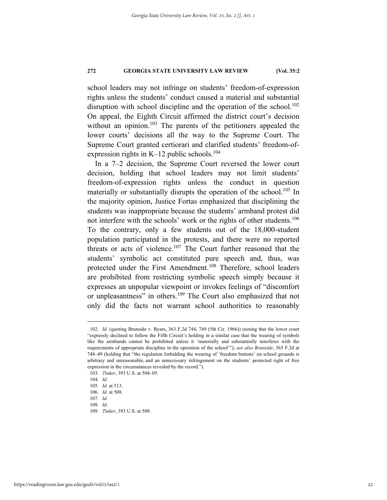school leaders may not infringe on students' freedom-of-expression rights unless the students' conduct caused a material and substantial disruption with school discipline and the operation of the school.<sup>102</sup> On appeal, the Eighth Circuit affirmed the district court's decision without an opinion.<sup>103</sup> The parents of the petitioners appealed the lower courts' decisions all the way to the Supreme Court. The Supreme Court granted certiorari and clarified students' freedom-ofexpression rights in K–12 public schools.<sup>104</sup>

In a 7–2 decision, the Supreme Court reversed the lower court decision, holding that school leaders may not limit students' freedom-of-expression rights unless the conduct in question materially or substantially disrupts the operation of the school.<sup>105</sup> In the majority opinion, Justice Fortas emphasized that disciplining the students was inappropriate because the students' armband protest did not interfere with the schools' work or the rights of other students.<sup>106</sup> To the contrary, only a few students out of the 18,000-student population participated in the protests, and there were no reported threats or acts of violence.<sup>107</sup> The Court further reasoned that the students' symbolic act constituted pure speech and, thus, was protected under the First Amendment.<sup>108</sup> Therefore, school leaders are prohibited from restricting symbolic speech simply because it expresses an unpopular viewpoint or invokes feelings of "discomfort or unpleasantness" in others.<sup>109</sup> The Court also emphasized that not only did the facts not warrant school authorities to reasonably

 <sup>102</sup>*. Id.* (quoting Brunside v. Byars, 363 F.2d 744, 749 (5th Cir. 1966)) (noting that the lower court "expressly declined to follow the Fifth Circuit's holding in a similar case that the wearing of symbols like the armbands cannot be prohibited unless it 'materially and substantially interferes with the requirements of appropriate discipline in the operation of the school'"); *see also Brunside*, 363 F.2d at 748–49 (holding that "the regulation forbidding the wearing of 'freedom buttons' on school grounds is arbitrary and unreasonable, and an unnecessary infringement on the students' protected right of free expression in the circumstances revealed by the record.").

<sup>103</sup>*. Tinker*, 393 U.S. at 504–05.

<sup>104</sup>*. Id.*

<sup>105</sup>*. Id.* at 513.

<sup>106</sup>*. Id.* at 508. 107*. Id.*

<sup>108</sup>*. Id.*

<sup>109</sup>*. Tinker*, 393 U.S. at 509.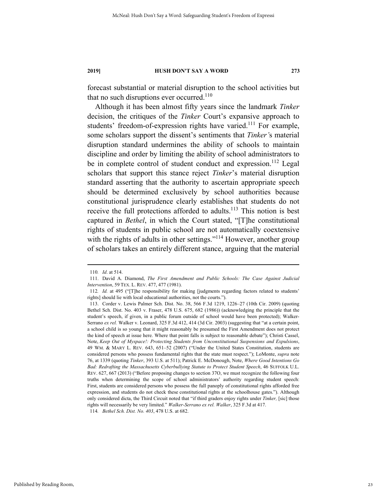forecast substantial or material disruption to the school activities but that no such disruptions ever occurred.<sup>110</sup>

Although it has been almost fifty years since the landmark *Tinker* decision, the critiques of the *Tinker* Court's expansive approach to students' freedom-of-expression rights have varied.<sup>111</sup> For example, some scholars support the dissent's sentiments that *Tinker'*s material disruption standard undermines the ability of schools to maintain discipline and order by limiting the ability of school administrators to be in complete control of student conduct and expression.<sup>112</sup> Legal scholars that support this stance reject *Tinker*'s material disruption standard asserting that the authority to ascertain appropriate speech should be determined exclusively by school authorities because constitutional jurisprudence clearly establishes that students do not receive the full protections afforded to adults.<sup>113</sup> This notion is best captured in *Bethel*, in which the Court stated, "[T]he constitutional rights of students in public school are not automatically coextensive with the rights of adults in other settings."<sup>114</sup> However, another group of scholars takes an entirely different stance, arguing that the material

114*. Bethel Sch. Dist. No. 403*, 478 U.S. at 682.

 <sup>110</sup>*. Id*. at 514.

 <sup>111.</sup> David A. Diamond, *The First Amendment and Public Schools: The Case Against Judicial Intervention*, 59 TEX. L. REV. 477, 477 (1981).

<sup>112</sup>*. Id.* at 495 ("[T]he responsibility for making [judgments regarding factors related to students' rights] should lie with local educational authorities, not the courts.").

 <sup>113.</sup> Corder v. Lewis Palmer Sch. Dist. No. 38, 566 F.3d 1219, 1226–27 (10th Cir. 2009) (quoting Bethel Sch. Dist. No. 403 v. Fraser, 478 U.S. 675, 682 (1986)) (acknowledging the principle that the student's speech, if given, in a public forum outside of school would have been protected); Walker-Serrano *ex rel.* Walker v. Leonard, 325 F.3d 412, 414 (3d Cir. 2003) (suggesting that "at a certain point, a school child is so young that it might reasonably be presumed the First Amendment does not protect the kind of speech at issue here. Where that point falls is subject to reasonable debate"); Christi Cassel, Note, *Keep Out of Myspace!: Protecting Students from Unconstitutional Suspensions and Expulsions*, 49 WM. & MARY L. REV. 643, 651–52 (2007) ("Under the United States Constitution, students are considered persons who possess fundamental rights that the state must respect."); LoMonte, *supra* note 76, at 1339 (quoting *Tinker*, 393 U.S. at 511); Patrick E. McDonough, Note, *Where Good Intentions Go Bad: Redrafting the Massachusetts Cyberbullying Statute to Protect Student Speech*, 46 SUFFOLK U.L. REV. 627, 667 (2013) ("Before proposing changes to section 37O, we must recognize the following four truths when determining the scope of school administrators' authority regarding student speech: First, students are considered persons who possess the full panoply of constitutional rights afforded free expression, and students do not check these constitutional rights at the schoolhouse gates."). Although only considered dicta, the Third Circuit noted that "if third graders enjoy rights under *Tinker,* [sic] those rights will necessarily be very limited." *Walker-Serrano ex rel. Walker*, 325 F.3d at 417.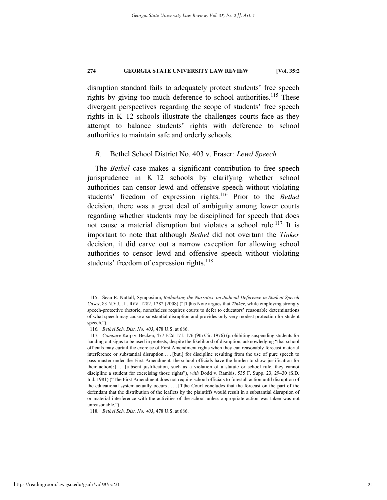disruption standard fails to adequately protect students' free speech rights by giving too much deference to school authorities.<sup>115</sup> These divergent perspectives regarding the scope of students' free speech rights in K–12 schools illustrate the challenges courts face as they attempt to balance students' rights with deference to school authorities to maintain safe and orderly schools.

#### *B.* Bethel School District No. 403 v. Fraser*: Lewd Speech*

The *Bethel* case makes a significant contribution to free speech jurisprudence in K–12 schools by clarifying whether school authorities can censor lewd and offensive speech without violating students' freedom of expression rights.116 Prior to the *Bethel* decision, there was a great deal of ambiguity among lower courts regarding whether students may be disciplined for speech that does not cause a material disruption but violates a school rule.117 It is important to note that although *Bethel* did not overturn the *Tinker* decision, it did carve out a narrow exception for allowing school authorities to censor lewd and offensive speech without violating students' freedom of expression rights.<sup>118</sup>

118*. Bethel Sch. Dist. No. 403*, 478 U.S. at 686.

 <sup>115.</sup> Sean R. Nuttall, Symposium, *Rethinking the Narrative on Judicial Deference in Student Speech Cases*, 83 N.Y.U. L. REV. 1282, 1282 (2008) ("[T]his Note argues that *Tinker*, while employing strongly speech-protective rhetoric, nonetheless requires courts to defer to educators' reasonable determinations of what speech may cause a substantial disruption and provides only very modest protection for student speech.").

<sup>116</sup>*. Bethel Sch. Dist. No. 403*, 478 U.S. at 686.

<sup>117</sup>*. Compare* Karp v. Becken, 477 F.2d 171, 176 (9th Cir. 1976) (prohibiting suspending students for handing out signs to be used in protests, despite the likelihood of disruption, acknowledging "that school officials may curtail the exercise of First Amendment rights when they can reasonably forecast material interference or substantial disruption . . . [but,] for discipline resulting from the use of pure speech to pass muster under the First Amendment, the school officials have the burden to show justification for their action[;] . . . [a]bsent justification, such as a violation of a statute or school rule, they cannot discipline a student for exercising those rights"), *with* Dodd v. Rambis, 535 F. Supp. 23, 29–30 (S.D. Ind. 1981) ("The First Amendment does not require school officials to forestall action until disruption of the educational system actually occurs . . . . [T]he Court concludes that the forecast on the part of the defendant that the distribution of the leaflets by the plaintiffs would result in a substantial disruption of or material interference with the activities of the school unless appropriate action was taken was not unreasonable.").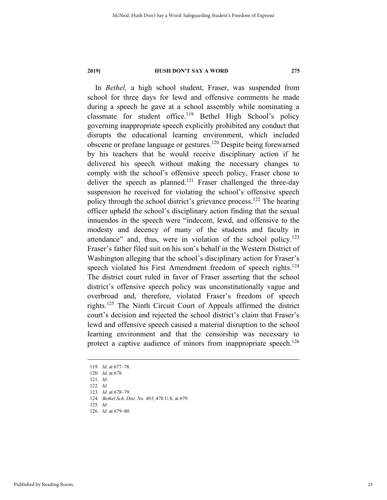In *Bethel,* a high school student, Fraser, was suspended from school for three days for lewd and offensive comments he made during a speech he gave at a school assembly while nominating a classmate for student office.<sup>119</sup> Bethel High School's policy governing inappropriate speech explicitly prohibited any conduct that disrupts the educational learning environment, which included obscene or profane language or gestures.120 Despite being forewarned by his teachers that he would receive disciplinary action if he delivered his speech without making the necessary changes to comply with the school's offensive speech policy, Fraser chose to deliver the speech as planned.<sup>121</sup> Fraser challenged the three-day suspension he received for violating the school's offensive speech policy through the school district's grievance process.<sup>122</sup> The hearing officer upheld the school's disciplinary action finding that the sexual innuendos in the speech were "indecent, lewd, and offensive to the modesty and decency of many of the students and faculty in attendance" and, thus, were in violation of the school policy.<sup>123</sup> Fraser's father filed suit on his son's behalf in the Western District of Washington alleging that the school's disciplinary action for Fraser's speech violated his First Amendment freedom of speech rights.<sup>124</sup> The district court ruled in favor of Fraser asserting that the school district's offensive speech policy was unconstitutionally vague and overbroad and, therefore, violated Fraser's freedom of speech rights.125 The Ninth Circuit Court of Appeals affirmed the district court's decision and rejected the school district's claim that Fraser's lewd and offensive speech caused a material disruption to the school learning environment and that the censorship was necessary to protect a captive audience of minors from inappropriate speech.<sup>126</sup>

124*. Bethel Sch. Dist. No. 403*, 478 U.S. at 679.

 <sup>119</sup>*. Id.* at 677–78.

<sup>120</sup>*. Id.* at 678.

<sup>121</sup>*. Id.*

<sup>122</sup>*. Id.*

<sup>123</sup>*. Id.* at 678–79.

<sup>125</sup>*. Id.*

<sup>126</sup>*. Id.* at 679–80.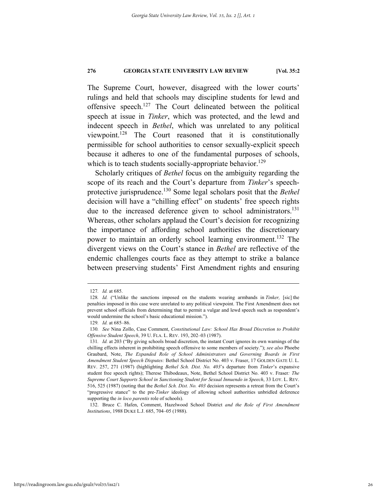The Supreme Court, however, disagreed with the lower courts' rulings and held that schools may discipline students for lewd and offensive speech.127 The Court delineated between the political speech at issue in *Tinker*, which was protected, and the lewd and indecent speech in *Bethel*, which was unrelated to any political viewpoint.<sup>128</sup> The Court reasoned that it is constitutionally permissible for school authorities to censor sexually-explicit speech because it adheres to one of the fundamental purposes of schools, which is to teach students socially-appropriate behavior.<sup>129</sup>

Scholarly critiques of *Bethel* focus on the ambiguity regarding the scope of its reach and the Court's departure from *Tinker*'s speechprotective jurisprudence.130 Some legal scholars posit that the *Bethel*  decision will have a "chilling effect" on students' free speech rights due to the increased deference given to school administrators.<sup>131</sup> Whereas, other scholars applaud the Court's decision for recognizing the importance of affording school authorities the discretionary power to maintain an orderly school learning environment.<sup>132</sup> The divergent views on the Court's stance in *Bethel* are reflective of the endemic challenges courts face as they attempt to strike a balance between preserving students' First Amendment rights and ensuring

 132. Bruce C. Hafen, Comment, Hazelwood School District *and the Role of First Amendment Institutions*, 1988 DUKE L.J. 685, 704–05 (1988).

 <sup>127</sup>*. Id.* at 685.

<sup>128</sup>*. Id.* ("Unlike the sanctions imposed on the students wearing armbands in *Tinker,* [sic] the penalties imposed in this case were unrelated to any political viewpoint. The First Amendment does not prevent school officials from determining that to permit a vulgar and lewd speech such as respondent's would undermine the school's basic educational mission.").

<sup>129</sup>*. Id.* at 685–86.

<sup>130</sup>*. See* Nina Zollo, Case Comment, *Constitutional Law: School Has Broad Discretion to Prohibit Offensive Student Speech*, 39 U. FLA. L. REV. 193, 202–03 (1987).

<sup>131</sup>*. Id.* at 203 ("By giving schools broad discretion, the instant Court ignores its own warnings of the chilling effects inherent in prohibiting speech offensive to some members of society."); *see also* Phoebe Graubard, Note, *The Expanded Role of School Administrators and Governing Boards in First Amendment Student Speech Disputes:* Bethel School District No. 403 v. Fraser, 17 GOLDEN GATE U. L. REV. 257, 271 (1987) (highlighting *Bethel Sch. Dist. No. 403*'s departure from *Tinker*'s expansive student free speech rights); Therese Thibodeaux, Note, Bethel School District No. 403 v. Fraser*: The Supreme Court Supports School in Sanctioning Student for Sexual Innuendo in Speech*, 33 LOY. L. REV. 516, 525 (1987) (noting that the *Bethel Sch. Dist. No. 403* decision represents a retreat from the Court's "progressive stance" to the pre-*Tinker* ideology of allowing school authorities unbridled deference supporting the *in loco parentis* role of schools).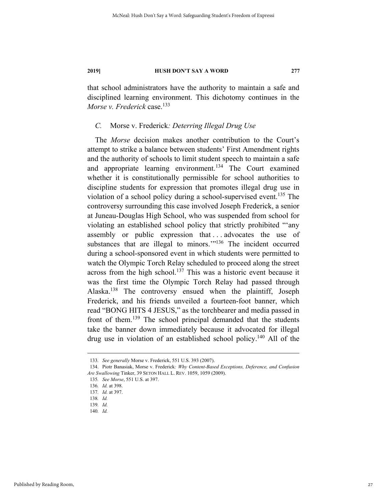that school administrators have the authority to maintain a safe and disciplined learning environment. This dichotomy continues in the *Morse v. Frederick* case.<sup>133</sup>

#### *C.* Morse v. Frederick*: Deterring Illegal Drug Use*

The *Morse* decision makes another contribution to the Court's attempt to strike a balance between students' First Amendment rights and the authority of schools to limit student speech to maintain a safe and appropriate learning environment.<sup>134</sup> The Court examined whether it is constitutionally permissible for school authorities to discipline students for expression that promotes illegal drug use in violation of a school policy during a school-supervised event.<sup>135</sup> The controversy surrounding this case involved Joseph Frederick, a senior at Juneau-Douglas High School, who was suspended from school for violating an established school policy that strictly prohibited "'any assembly or public expression that ... advocates the use of substances that are illegal to minors."<sup>136</sup> The incident occurred during a school-sponsored event in which students were permitted to watch the Olympic Torch Relay scheduled to proceed along the street across from the high school.<sup>137</sup> This was a historic event because it was the first time the Olympic Torch Relay had passed through Alaska.138 The controversy ensued when the plaintiff, Joseph Frederick, and his friends unveiled a fourteen-foot banner, which read "BONG HITS 4 JESUS," as the torchbearer and media passed in front of them.139 The school principal demanded that the students take the banner down immediately because it advocated for illegal drug use in violation of an established school policy.<sup>140</sup> All of the

 <sup>133</sup>*. See generally* Morse v. Frederick, 551 U.S. 393 (2007).

 <sup>134.</sup> Piotr Banasiak, Morse v. Frederick*: Why Content-Based Exceptions, Deference, and Confusion Are Swallowing* Tinker, 39 SETON HALL L. REV. 1059, 1059 (2009).

<sup>135</sup>*. See Morse*, 551 U.S. at 397.

<sup>136</sup>*. Id.* at 398.

<sup>137</sup>*. Id.* at 397.

<sup>138</sup>*. Id.*

<sup>139</sup>*. Id.*

<sup>140</sup>*. Id.*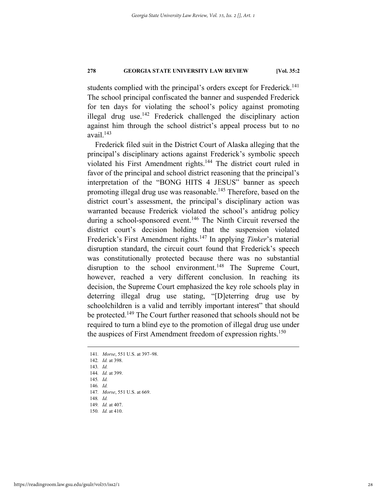students complied with the principal's orders except for Frederick.<sup>141</sup> The school principal confiscated the banner and suspended Frederick for ten days for violating the school's policy against promoting illegal drug use.<sup>142</sup> Frederick challenged the disciplinary action against him through the school district's appeal process but to no  $a$ vail.<sup>143</sup>

Frederick filed suit in the District Court of Alaska alleging that the principal's disciplinary actions against Frederick's symbolic speech violated his First Amendment rights.<sup>144</sup> The district court ruled in favor of the principal and school district reasoning that the principal's interpretation of the "BONG HITS 4 JESUS" banner as speech promoting illegal drug use was reasonable.<sup>145</sup> Therefore, based on the district court's assessment, the principal's disciplinary action was warranted because Frederick violated the school's antidrug policy during a school-sponsored event.<sup>146</sup> The Ninth Circuit reversed the district court's decision holding that the suspension violated Frederick's First Amendment rights.147 In applying *Tinker*'s material disruption standard, the circuit court found that Frederick's speech was constitutionally protected because there was no substantial disruption to the school environment.<sup>148</sup> The Supreme Court, however, reached a very different conclusion. In reaching its decision, the Supreme Court emphasized the key role schools play in deterring illegal drug use stating, "[D]eterring drug use by schoolchildren is a valid and terribly important interest" that should be protected.<sup>149</sup> The Court further reasoned that schools should not be required to turn a blind eye to the promotion of illegal drug use under the auspices of First Amendment freedom of expression rights.<sup>150</sup>

- 141*. Morse*, 551 U.S. at 397–98.
- 142*. Id.* at 398.
- 143*. Id.*
- 144*. Id.* at 399.
- 145*. Id.*
- 146*. Id.*

- 148*. Id.*
- 149*. Id.* at 407.
- 150*. Id.* at 410.

<sup>147</sup>*. Morse*, 551 U.S. at 669.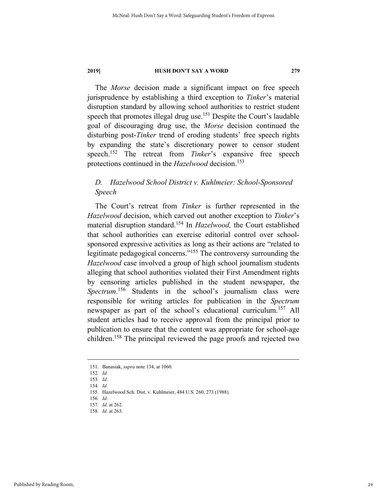The *Morse* decision made a significant impact on free speech jurisprudence by establishing a third exception to *Tinker*'s material disruption standard by allowing school authorities to restrict student speech that promotes illegal drug use.<sup>151</sup> Despite the Court's laudable goal of discouraging drug use, the *Morse* decision continued the disturbing post-*Tinker* trend of eroding students' free speech rights by expanding the state's discretionary power to censor student speech.152 The retreat from *Tinker*'s expansive free speech protections continued in the *Hazelwood* decision.<sup>153</sup>

## *D. Hazelwood School District v. Kuhlmeier: School-Sponsored Speech*

The Court's retreat from *Tinker* is further represented in the *Hazelwood* decision, which carved out another exception to *Tinker*'s material disruption standard.154 In *Hazelwood,* the Court established that school authorities can exercise editorial control over schoolsponsored expressive activities as long as their actions are "related to legitimate pedagogical concerns."155 The controversy surrounding the *Hazelwood* case involved a group of high school journalism students alleging that school authorities violated their First Amendment rights by censoring articles published in the student newspaper, the Spectrum.<sup>156</sup> Students in the school's journalism class were responsible for writing articles for publication in the *Spectrum* newspaper as part of the school's educational curriculum.<sup>157</sup> All student articles had to receive approval from the principal prior to publication to ensure that the content was appropriate for school-age children.158 The principal reviewed the page proofs and rejected two

 <sup>151.</sup> Banasiak, *supra* note 134, at 1060.

<sup>152</sup>*. Id.*

<sup>153</sup>*. Id.*

<sup>154</sup>*. Id.*

 <sup>155.</sup> Hazelwood Sch. Dist. v. Kuhlmeier, 484 U.S. 260, 273 (1988).

<sup>156</sup>*. Id.* 

<sup>157</sup>*. Id.* at 262.

<sup>158</sup>*. Id.* at 263.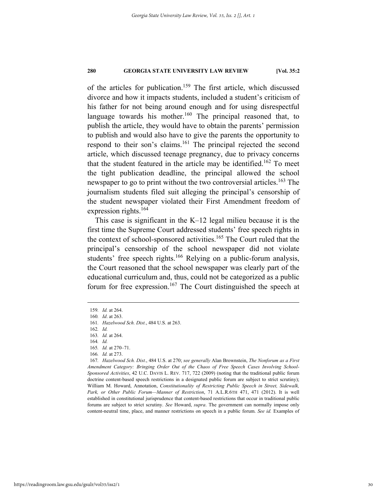of the articles for publication.<sup>159</sup> The first article, which discussed divorce and how it impacts students, included a student's criticism of his father for not being around enough and for using disrespectful language towards his mother.<sup>160</sup> The principal reasoned that, to publish the article, they would have to obtain the parents' permission to publish and would also have to give the parents the opportunity to respond to their son's claims.<sup>161</sup> The principal rejected the second article, which discussed teenage pregnancy, due to privacy concerns that the student featured in the article may be identified.<sup>162</sup> To meet the tight publication deadline, the principal allowed the school newspaper to go to print without the two controversial articles.<sup>163</sup> The journalism students filed suit alleging the principal's censorship of the student newspaper violated their First Amendment freedom of expression rights. $164$ 

This case is significant in the K–12 legal milieu because it is the first time the Supreme Court addressed students' free speech rights in the context of school-sponsored activities.<sup>165</sup> The Court ruled that the principal's censorship of the school newspaper did not violate students' free speech rights.<sup>166</sup> Relying on a public-forum analysis, the Court reasoned that the school newspaper was clearly part of the educational curriculum and, thus, could not be categorized as a public forum for free expression.<sup>167</sup> The Court distinguished the speech at

 <sup>159</sup>*. Id.* at 264.

<sup>160</sup>*. Id*. at 263.

<sup>161</sup>*. Hazelwood Sch. Dist.*, 484 U.S. at 263.

<sup>162</sup>*. Id.*

<sup>163</sup>*. Id.* at 264.

<sup>164</sup>*. Id.*

<sup>165</sup>*. Id.* at 270–71.

<sup>166</sup>*. Id.* at 273.

<sup>167</sup>*. Hazelwood Sch. Dist.*, 484 U.S. at 270; *see generally* Alan Brownstein, *The Nonforum as a First Amendment Category: Bringing Order Out of the Chaos of Free Speech Cases Involving School-Sponsored Activities*, 42 U.C. DAVIS L. REV. 717, 722 (2009) (noting that the traditional public forum doctrine content-based speech restrictions in a designated public forum are subject to strict scrutiny); William M. Howard, Annotation, *Constitutionality of Restricting Public Speech in Street, Sidewalk, Park, or Other Public Forum—Manner of Restriction*, 71 A.L.R.6TH 471, 471 (2012). It is well established in constitutional jurisprudence that content-based restrictions that occur in traditional public forums are subject to strict scrutiny. *See* Howard, *supra*. The government can normally impose only content-neutral time, place, and manner restrictions on speech in a public forum. *See id.* Examples of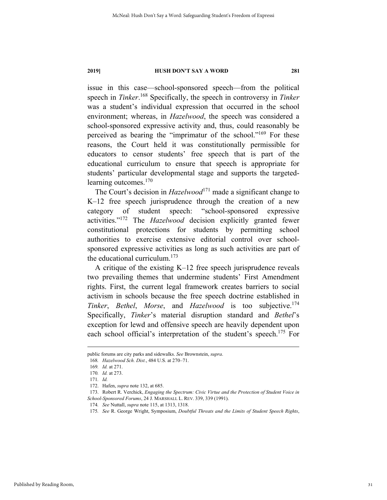issue in this case—school-sponsored speech—from the political speech in *Tinker*. 168 Specifically, the speech in controversy in *Tinker*  was a student's individual expression that occurred in the school environment; whereas, in *Hazelwood*, the speech was considered a school-sponsored expressive activity and, thus, could reasonably be perceived as bearing the "imprimatur of the school."169 For these reasons, the Court held it was constitutionally permissible for educators to censor students' free speech that is part of the educational curriculum to ensure that speech is appropriate for students' particular developmental stage and supports the targetedlearning outcomes.<sup>170</sup>

The Court's decision in *Hazelwood*<sup>171</sup> made a significant change to K–12 free speech jurisprudence through the creation of a new category of student speech: "school-sponsored expressive activities."172 The *Hazelwood* decision explicitly granted fewer constitutional protections for students by permitting school authorities to exercise extensive editorial control over schoolsponsored expressive activities as long as such activities are part of the educational curriculum.<sup>173</sup>

A critique of the existing K–12 free speech jurisprudence reveals two prevailing themes that undermine students' First Amendment rights. First, the current legal framework creates barriers to social activism in schools because the free speech doctrine established in *Tinker*, *Bethel*, *Morse*, and *Hazelwood* is too subjective.174 Specifically, *Tinker*'s material disruption standard and *Bethel*'s exception for lewd and offensive speech are heavily dependent upon each school official's interpretation of the student's speech.<sup>175</sup> For

public forums are city parks and sidewalks. *See* Brownstein, *supra*.

<sup>168</sup>*. Hazelwood Sch. Dist.*, 484 U.S. at 270–71.

<sup>169</sup>*. Id.* at 271.

<sup>170</sup>*. Id.* at 273.

<sup>171</sup>*. Id.* 

 <sup>172.</sup> Hafen, *supra* note 132, at 685.

 <sup>173.</sup> Robert R. Verchick, *Engaging the Spectrum: Civic Virtue and the Protection of Student Voice in School-Sponsored Forums*, 24 J. MARSHALL L. REV. 339, 339 (1991).

<sup>174</sup>*. See* Nuttall, *supra* note 115, at 1313, 1318.

<sup>175</sup>*. See* R. George Wright, Symposium, *Doubtful Threats and the Limits of Student Speech Rights*,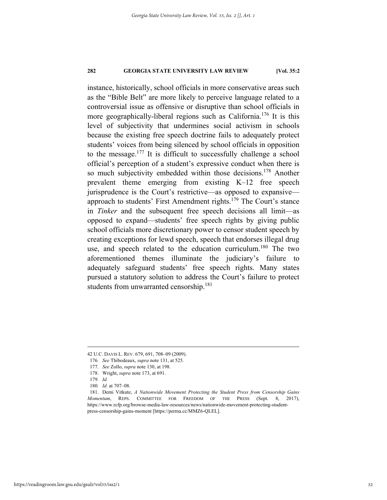instance, historically, school officials in more conservative areas such as the "Bible Belt" are more likely to perceive language related to a controversial issue as offensive or disruptive than school officials in more geographically-liberal regions such as California.176 It is this level of subjectivity that undermines social activism in schools because the existing free speech doctrine fails to adequately protect students' voices from being silenced by school officials in opposition to the message.177 It is difficult to successfully challenge a school official's perception of a student's expressive conduct when there is so much subjectivity embedded within those decisions.<sup>178</sup> Another prevalent theme emerging from existing K–12 free speech jurisprudence is the Court's restrictive—as opposed to expansive approach to students' First Amendment rights.<sup>179</sup> The Court's stance in *Tinker* and the subsequent free speech decisions all limit—as opposed to expand—students' free speech rights by giving public school officials more discretionary power to censor student speech by creating exceptions for lewd speech, speech that endorses illegal drug use, and speech related to the education curriculum.<sup>180</sup> The two aforementioned themes illuminate the judiciary's failure to adequately safeguard students' free speech rights. Many states pursued a statutory solution to address the Court's failure to protect students from unwarranted censorship.<sup>181</sup>

 <sup>42</sup> U.C. DAVIS L. REV. 679, 691, 708–09 (2009).

<sup>176</sup>*. See* Thibodeaux, *supra* note 131, at 525.

<sup>177</sup>*. See* Zollo, *supra* note 130, at 198*.*

 <sup>178.</sup> Wright, *supra* note 173, at 691.

<sup>179</sup>*. Id.*

<sup>180</sup>*. Id.* at 707–08.

 <sup>181.</sup> Demi Vitkute, *A Nationwide Movement Protecting the Student Press from Censorship Gains Momentum*, REPS. COMMITTEE FOR FREEDOM OF THE PRESS (Sept. 8, 2017), https://www.rcfp.org/browse-media-law-resources/news/nationwide-movement-protecting-studentpress-censorship-gains-moment [https://perma.cc/MMZ6-QLEL].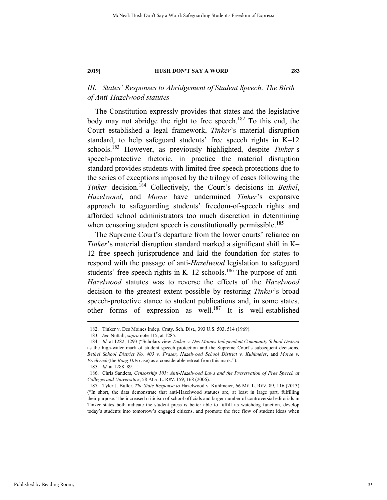# *III. States' Responses to Abridgement of Student Speech: The Birth of Anti-Hazelwood statutes*

The Constitution expressly provides that states and the legislative body may not abridge the right to free speech.<sup>182</sup> To this end, the Court established a legal framework, *Tinker*'s material disruption standard, to help safeguard students' free speech rights in K–12 schools.183 However, as previously highlighted, despite *Tinker'*s speech-protective rhetoric, in practice the material disruption standard provides students with limited free speech protections due to the series of exceptions imposed by the trilogy of cases following the *Tinker* decision.184 Collectively, the Court's decisions in *Bethel*, *Hazelwood*, and *Morse* have undermined *Tinker*'s expansive approach to safeguarding students' freedom-of-speech rights and afforded school administrators too much discretion in determining when censoring student speech is constitutionally permissible.<sup>185</sup>

The Supreme Court's departure from the lower courts' reliance on *Tinker*'s material disruption standard marked a significant shift in K– 12 free speech jurisprudence and laid the foundation for states to respond with the passage of anti-*Hazelwood* legislation to safeguard students' free speech rights in  $K-12$  schools.<sup>186</sup> The purpose of anti-*Hazelwood* statutes was to reverse the effects of the *Hazelwood*  decision to the greatest extent possible by restoring *Tinker*'s broad speech-protective stance to student publications and, in some states, other forms of expression as well.187 It is well-established

 <sup>182.</sup> Tinker v. Des Moines Indep. Cmty. Sch. Dist., 393 U.S. 503, 514 (1969).

<sup>183</sup>*. See* Nuttall, *supra* note 115, at 1285.

<sup>184</sup>*. Id.* at 1282, 1293 ("Scholars view *Tinker v. Des Moines Independent Community School District* as the high-water mark of student speech protection and the Supreme Court's subsequent decisions, *Bethel School District No. 403 v. Fraser*, *Hazelwood School District v. Kuhlmeier*, and *Morse v. Frederick* (the *Bong Hits* case) as a considerable retreat from this mark.").

<sup>185</sup>*. Id.* at 1288–89.

 <sup>186.</sup> Chris Sanders, *Censorship 101: Anti-Hazelwood Laws and the Preservation of Free Speech at Colleges and Universities*, 58 ALA. L. REV. 159, 168 (2006).

 <sup>187.</sup> Tyler J. Buller, *The State Response to* Hazelwood v. Kuhlmeier, 66 ME. L. REV. 89, 116 (2013) ("In short, the data demonstrate that anti-Hazelwood statutes are, at least in large part, fulfilling their purpose. The increased criticism of school officials and larger number of controversial editorials in Tinker states both indicate the student press is better able to fulfill its watchdog function, develop today's students into tomorrow's engaged citizens, and promote the free flow of student ideas when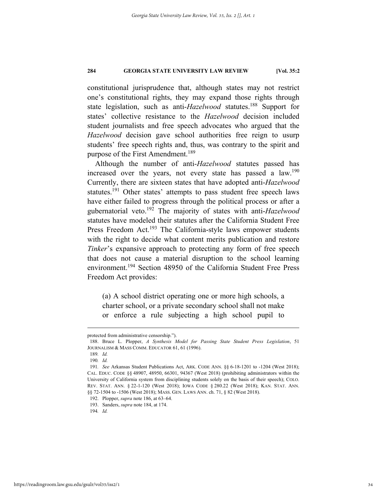constitutional jurisprudence that, although states may not restrict one's constitutional rights, they may expand those rights through state legislation, such as anti-*Hazelwood* statutes.<sup>188</sup> Support for states' collective resistance to the *Hazelwood* decision included student journalists and free speech advocates who argued that the *Hazelwood* decision gave school authorities free reign to usurp students' free speech rights and, thus, was contrary to the spirit and purpose of the First Amendment.<sup>189</sup>

Although the number of anti-*Hazelwood* statutes passed has increased over the years, not every state has passed a law.<sup>190</sup> Currently, there are sixteen states that have adopted anti-*Hazelwood* statutes.<sup>191</sup> Other states' attempts to pass student free speech laws have either failed to progress through the political process or after a gubernatorial veto.192 The majority of states with anti-*Hazelwood* statutes have modeled their statutes after the California Student Free Press Freedom Act.<sup>193</sup> The California-style laws empower students with the right to decide what content merits publication and restore *Tinker*'s expansive approach to protecting any form of free speech that does not cause a material disruption to the school learning environment.<sup>194</sup> Section 48950 of the California Student Free Press Freedom Act provides:

(a) A school district operating one or more high schools, a charter school, or a private secondary school shall not make or enforce a rule subjecting a high school pupil to

protected from administrative censorship.").

 <sup>188.</sup> Bruce L. Plopper, *A Synthesis Model for Passing State Student Press Legislation*, 51 JOURNALISM & MASS COMM. EDUCATOR 61, 61 (1996).

<sup>189</sup>*. Id.*

<sup>190</sup>*. Id.*

<sup>191</sup>*. See* Arkansas Student Publications Act, ARK. CODE ANN. §§ 6-18-1201 to -1204 (West 2018); CAL. EDUC. CODE §§ 48907, 48950, 66301, 94367 (West 2018) (prohibiting administrators within the University of California system from disciplining students solely on the basis of their speech); COLO. REV. STAT. ANN. § 22-1-120 (West 2018); IOWA CODE § 280.22 (West 2018); KAN. STAT. ANN. §§ 72-1504 to -1506 (West 2018); MASS. GEN. LAWS ANN. ch. 71, § 82 (West 2018).

 <sup>192.</sup> Plopper, *supra* note 186, at 63–64.

 <sup>193.</sup> Sanders, *supra* note 184, at 174.

<sup>194</sup>*. Id.*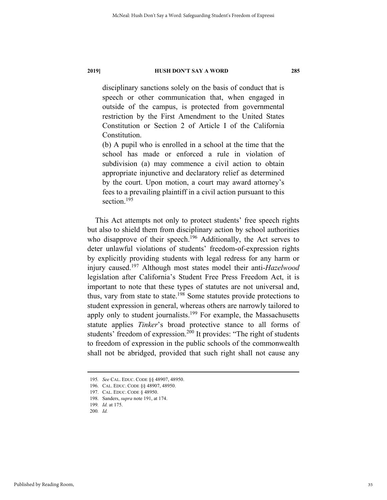disciplinary sanctions solely on the basis of conduct that is speech or other communication that, when engaged in outside of the campus, is protected from governmental restriction by the First Amendment to the United States Constitution or Section 2 of Article I of the California Constitution.

(b) A pupil who is enrolled in a school at the time that the school has made or enforced a rule in violation of subdivision (a) may commence a civil action to obtain appropriate injunctive and declaratory relief as determined by the court. Upon motion, a court may award attorney's fees to a prevailing plaintiff in a civil action pursuant to this section.<sup>195</sup>

This Act attempts not only to protect students' free speech rights but also to shield them from disciplinary action by school authorities who disapprove of their speech.<sup>196</sup> Additionally, the Act serves to deter unlawful violations of students' freedom-of-expression rights by explicitly providing students with legal redress for any harm or injury caused.197 Although most states model their anti-*Hazelwood*  legislation after California's Student Free Press Freedom Act, it is important to note that these types of statutes are not universal and, thus, vary from state to state.198 Some statutes provide protections to student expression in general, whereas others are narrowly tailored to apply only to student journalists.<sup>199</sup> For example, the Massachusetts statute applies *Tinker*'s broad protective stance to all forms of students' freedom of expression.<sup>200</sup> It provides: "The right of students to freedom of expression in the public schools of the commonwealth shall not be abridged, provided that such right shall not cause any

 <sup>195</sup>*. See* CAL. EDUC. CODE §§ 48907, 48950.

 <sup>196.</sup> CAL. EDUC. CODE §§ 48907, 48950.

 <sup>197.</sup> CAL. EDUC. CODE § 48950.

 <sup>198.</sup> Sanders, *supra* note 191, at 174.

<sup>199</sup>*. Id.* at 175.

<sup>200</sup>*. Id.*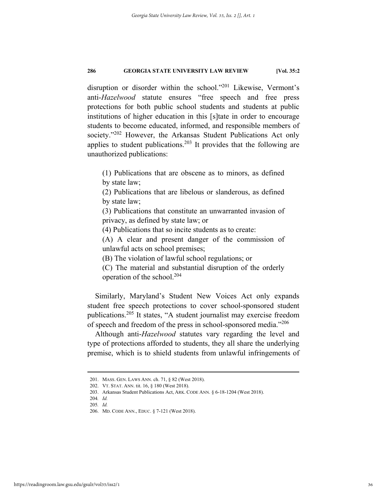disruption or disorder within the school."201 Likewise, Vermont's anti-*Hazelwood* statute ensures "free speech and free press protections for both public school students and students at public institutions of higher education in this [s]tate in order to encourage students to become educated, informed, and responsible members of society."<sup>202</sup> However, the Arkansas Student Publications Act only applies to student publications.<sup>203</sup> It provides that the following are unauthorized publications:

(1) Publications that are obscene as to minors, as defined by state law;

(2) Publications that are libelous or slanderous, as defined by state law;

(3) Publications that constitute an unwarranted invasion of privacy, as defined by state law; or

(4) Publications that so incite students as to create:

(A) A clear and present danger of the commission of unlawful acts on school premises;

(B) The violation of lawful school regulations; or

(C) The material and substantial disruption of the orderly operation of the school.204

Similarly, Maryland's Student New Voices Act only expands student free speech protections to cover school-sponsored student publications.205 It states, "A student journalist may exercise freedom of speech and freedom of the press in school-sponsored media."<sup>206</sup>

Although anti-*Hazelwood* statutes vary regarding the level and type of protections afforded to students, they all share the underlying premise, which is to shield students from unlawful infringements of

 <sup>201.</sup> MASS. GEN. LAWS ANN. ch. 71, § 82 (West 2018).

 <sup>202.</sup> VT. STAT. ANN. tit. 16, § 180 (West 2018).

 <sup>203.</sup> Arkansas Student Publications Act, ARK. CODE ANN. § 6-18-1204 (West 2018).

<sup>204</sup>*. Id.* 205*. Id.*

 <sup>206.</sup> MD. CODE ANN., EDUC. § 7-121 (West 2018).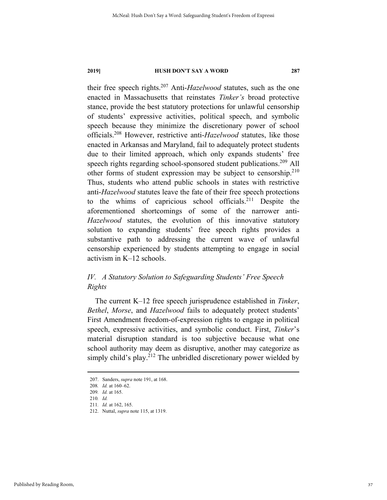their free speech rights.207 Anti-*Hazelwood* statutes, such as the one enacted in Massachusetts that reinstates *Tinker's* broad protective stance, provide the best statutory protections for unlawful censorship of students' expressive activities, political speech, and symbolic speech because they minimize the discretionary power of school officials.208 However, restrictive anti-*Hazelwood* statutes, like those enacted in Arkansas and Maryland, fail to adequately protect students due to their limited approach, which only expands students' free speech rights regarding school-sponsored student publications.<sup>209</sup> All other forms of student expression may be subject to censorship.<sup>210</sup> Thus, students who attend public schools in states with restrictive anti-*Hazelwood* statutes leave the fate of their free speech protections to the whims of capricious school officials.211 Despite the aforementioned shortcomings of some of the narrower anti-*Hazelwood* statutes, the evolution of this innovative statutory solution to expanding students' free speech rights provides a substantive path to addressing the current wave of unlawful censorship experienced by students attempting to engage in social activism in K–12 schools.

# *IV. A Statutory Solution to Safeguarding Students' Free Speech Rights*

The current K–12 free speech jurisprudence established in *Tinker*, *Bethel*, *Morse*, and *Hazelwood* fails to adequately protect students' First Amendment freedom-of-expression rights to engage in political speech, expressive activities, and symbolic conduct. First, *Tinker*'s material disruption standard is too subjective because what one school authority may deem as disruptive, another may categorize as simply child's play.<sup>212</sup> The unbridled discretionary power wielded by

 <sup>207.</sup> Sanders, *supra* note 191, at 168.

<sup>208</sup>*. Id.* at 160–62. 209*. Id.* at 165.

<sup>210</sup>*. Id.*

<sup>211</sup>*. Id.* at 162, 165.

 <sup>212.</sup> Nuttal, *supra* note 115, at 1319.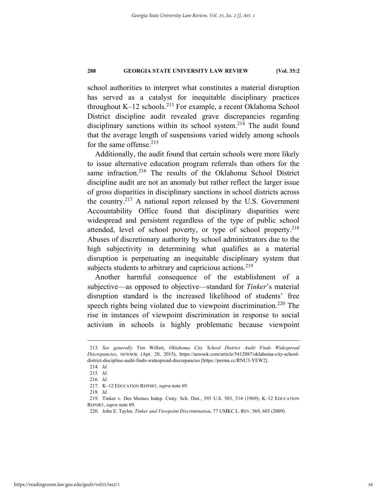school authorities to interpret what constitutes a material disruption has served as a catalyst for inequitable disciplinary practices throughout K-12 schools.<sup>213</sup> For example, a recent Oklahoma School District discipline audit revealed grave discrepancies regarding disciplinary sanctions within its school system.<sup>214</sup> The audit found that the average length of suspensions varied widely among schools for the same offense. $215$ 

Additionally, the audit found that certain schools were more likely to issue alternative education program referrals than others for the same infraction.<sup>216</sup> The results of the Oklahoma School District discipline audit are not an anomaly but rather reflect the larger issue of gross disparities in disciplinary sanctions in school districts across the country.217 A national report released by the U.S. Government Accountability Office found that disciplinary disparities were widespread and persistent regardless of the type of public school attended, level of school poverty, or type of school property.<sup>218</sup> Abuses of discretionary authority by school administrators due to the high subjectivity in determining what qualifies as a material disruption is perpetuating an inequitable disciplinary system that subjects students to arbitrary and capricious actions.<sup>219</sup>

Another harmful consequence of the establishment of a subjective—as opposed to objective—standard for *Tinker*'s material disruption standard is the increased likelihood of students' free speech rights being violated due to viewpoint discrimination.<sup>220</sup> The rise in instances of viewpoint discrimination in response to social activism in schools is highly problematic because viewpoint

 <sup>213</sup>*. See generally* Tim Willert, *Oklahoma City School District Audit Finds Widespread Discrepancies*, NEWSOK (Apr. 20, 2015), https://newsok.com/article/5412087/oklahoma-city-schooldistrict-discipline-audit-finds-widespread-discrepancies [https://perma.cc/RNU3-YEW2].

<sup>214</sup>*. Id.*

<sup>215</sup>*. Id.*

<sup>216</sup>*. Id.* 

 <sup>217.</sup> K–12 EDUCATION REPORT, *supra* note 69.

<sup>218</sup>*. Id.*

 <sup>219.</sup> Tinker v. Des Moines Indep. Cmty. Sch. Dist., 393 U.S. 503, 514 (1969); K–12 EDUCATION REPORT, *supra* note 69.

 <sup>220.</sup> John E. Taylor, *Tinker and Viewpoint Discrimination*, 77 UMKC L. REV. 569, 603 (2009).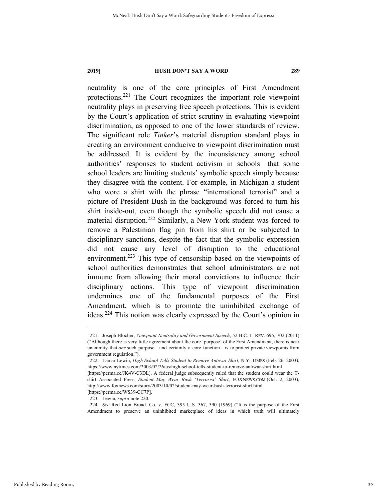neutrality is one of the core principles of First Amendment protections.221 The Court recognizes the important role viewpoint neutrality plays in preserving free speech protections. This is evident by the Court's application of strict scrutiny in evaluating viewpoint discrimination, as opposed to one of the lower standards of review. The significant role *Tinker*'s material disruption standard plays in creating an environment conducive to viewpoint discrimination must be addressed. It is evident by the inconsistency among school authorities' responses to student activism in schools—that some school leaders are limiting students' symbolic speech simply because they disagree with the content. For example, in Michigan a student who wore a shirt with the phrase "international terrorist" and a picture of President Bush in the background was forced to turn his shirt inside-out, even though the symbolic speech did not cause a material disruption.222 Similarly, a New York student was forced to remove a Palestinian flag pin from his shirt or be subjected to disciplinary sanctions, despite the fact that the symbolic expression did not cause any level of disruption to the educational environment.<sup>223</sup> This type of censorship based on the viewpoints of school authorities demonstrates that school administrators are not immune from allowing their moral convictions to influence their disciplinary actions. This type of viewpoint discrimination undermines one of the fundamental purposes of the First Amendment, which is to promote the uninhibited exchange of ideas.224 This notion was clearly expressed by the Court's opinion in

224*. See* Red Lion Broad. Co. v. FCC, 395 U.S. 367, 390 (1969) ("It is the purpose of the First Amendment to preserve an uninhibited marketplace of ideas in which truth will ultimately

 <sup>221.</sup> Joseph Blocher, *Viewpoint Neutrality and Government Speech*, 52 B.C. L. REV. 695, 702 (2011) ("Although there is very little agreement about the core 'purpose' of the First Amendment, there is near unanimity that *one* such purpose—and certainly a core function—is to protect private viewpoints from government regulation.").

 <sup>222.</sup> Tamar Lewin, *High School Tells Student to Remove Antiwar Shirt*, N.Y. TIMES (Feb. 26, 2003), https://www.nytimes.com/2003/02/26/us/high-school-tells-student-to-remove-antiwar-shirt.html

<sup>[</sup>https://perma.cc/JK4V-C3DL]. A federal judge subsequently ruled that the student could wear the Tshirt. Associated Press, *Student May Wear Bush 'Terrorist' Shirt*, FOXNEWS.COM (Oct. 2, 2003), http://www.foxnews.com/story/2003/10/02/student-may-wear-bush-terrorist-shirt.html [https://perma.cc/WS39-CC7P].

 <sup>223.</sup> Lewin, *supra* note 220.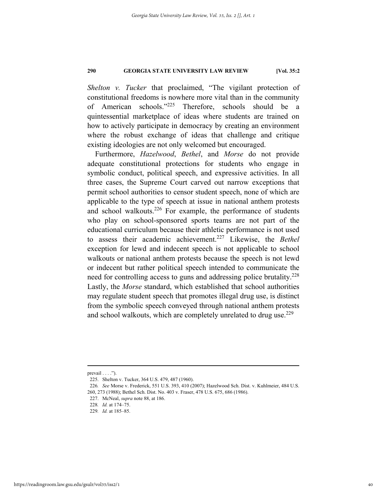*Shelton v. Tucker* that proclaimed, "The vigilant protection of constitutional freedoms is nowhere more vital than in the community of American schools."225 Therefore, schools should be a quintessential marketplace of ideas where students are trained on how to actively participate in democracy by creating an environment where the robust exchange of ideas that challenge and critique existing ideologies are not only welcomed but encouraged.

Furthermore, *Hazelwood*, *Bethel*, and *Morse* do not provide adequate constitutional protections for students who engage in symbolic conduct, political speech, and expressive activities. In all three cases, the Supreme Court carved out narrow exceptions that permit school authorities to censor student speech, none of which are applicable to the type of speech at issue in national anthem protests and school walkouts.<sup>226</sup> For example, the performance of students who play on school-sponsored sports teams are not part of the educational curriculum because their athletic performance is not used to assess their academic achievement.227 Likewise, the *Bethel*  exception for lewd and indecent speech is not applicable to school walkouts or national anthem protests because the speech is not lewd or indecent but rather political speech intended to communicate the need for controlling access to guns and addressing police brutality.<sup>228</sup> Lastly, the *Morse* standard, which established that school authorities may regulate student speech that promotes illegal drug use, is distinct from the symbolic speech conveyed through national anthem protests and school walkouts, which are completely unrelated to drug use.<sup>229</sup>

 $preval$  . . . . ").

 <sup>225.</sup> Shelton v. Tucker, 364 U.S. 479, 487 (1960).

<sup>226</sup>*. See* Morse v. Frederick, 551 U.S. 393, 410 (2007); Hazelwood Sch. Dist. v. Kuhlmeier, 484 U.S. 260, 273 (1988); Bethel Sch. Dist. No. 403 v. Fraser, 478 U.S. 675, 686 (1986).

 <sup>227.</sup> McNeal, *supra* note 88, at 186.

<sup>228</sup>*. Id.* at 174–75.

<sup>229</sup>*. Id.* at 185–85.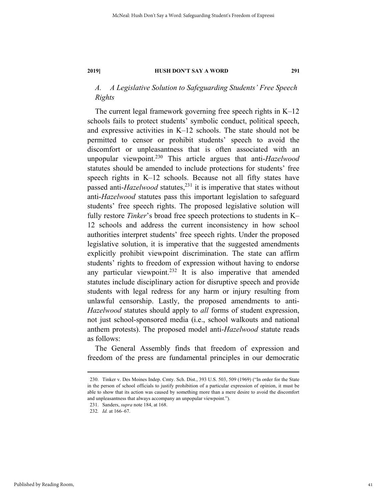# *A. A Legislative Solution to Safeguarding Students' Free Speech Rights*

The current legal framework governing free speech rights in  $K-12$ schools fails to protect students' symbolic conduct, political speech, and expressive activities in K–12 schools. The state should not be permitted to censor or prohibit students' speech to avoid the discomfort or unpleasantness that is often associated with an unpopular viewpoint.230 This article argues that anti-*Hazelwood*  statutes should be amended to include protections for students' free speech rights in K–12 schools. Because not all fifty states have passed anti-*Hazelwood* statutes,<sup>231</sup> it is imperative that states without anti-*Hazelwood* statutes pass this important legislation to safeguard students' free speech rights. The proposed legislative solution will fully restore *Tinker*'s broad free speech protections to students in K– 12 schools and address the current inconsistency in how school authorities interpret students' free speech rights. Under the proposed legislative solution, it is imperative that the suggested amendments explicitly prohibit viewpoint discrimination. The state can affirm students' rights to freedom of expression without having to endorse any particular viewpoint.<sup>232</sup> It is also imperative that amended statutes include disciplinary action for disruptive speech and provide students with legal redress for any harm or injury resulting from unlawful censorship. Lastly, the proposed amendments to anti-*Hazelwood* statutes should apply to *all* forms of student expression, not just school-sponsored media (i.e., school walkouts and national anthem protests). The proposed model anti-*Hazelwood* statute reads as follows:

The General Assembly finds that freedom of expression and freedom of the press are fundamental principles in our democratic

 <sup>230.</sup> Tinker v. Des Moines Indep. Cmty. Sch. Dist., 393 U.S. 503, 509 (1969) ("In order for the State in the person of school officials to justify prohibition of a particular expression of opinion, it must be able to show that its action was caused by something more than a mere desire to avoid the discomfort and unpleasantness that always accompany an unpopular viewpoint.").

 <sup>231.</sup> Sanders, *supra* note 184, at 168.

<sup>232</sup>*. Id.* at 166–67.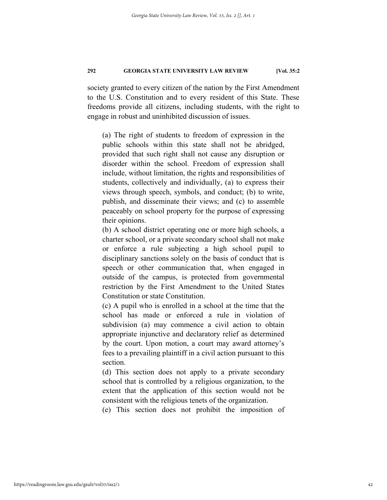society granted to every citizen of the nation by the First Amendment to the U.S. Constitution and to every resident of this State. These freedoms provide all citizens, including students, with the right to engage in robust and uninhibited discussion of issues.

(a) The right of students to freedom of expression in the public schools within this state shall not be abridged, provided that such right shall not cause any disruption or disorder within the school. Freedom of expression shall include, without limitation, the rights and responsibilities of students, collectively and individually, (a) to express their views through speech, symbols, and conduct; (b) to write, publish, and disseminate their views; and (c) to assemble peaceably on school property for the purpose of expressing their opinions.

(b) A school district operating one or more high schools, a charter school, or a private secondary school shall not make or enforce a rule subjecting a high school pupil to disciplinary sanctions solely on the basis of conduct that is speech or other communication that, when engaged in outside of the campus, is protected from governmental restriction by the First Amendment to the United States Constitution or state Constitution.

(c) A pupil who is enrolled in a school at the time that the school has made or enforced a rule in violation of subdivision (a) may commence a civil action to obtain appropriate injunctive and declaratory relief as determined by the court. Upon motion, a court may award attorney's fees to a prevailing plaintiff in a civil action pursuant to this section.

(d) This section does not apply to a private secondary school that is controlled by a religious organization, to the extent that the application of this section would not be consistent with the religious tenets of the organization.

(e) This section does not prohibit the imposition of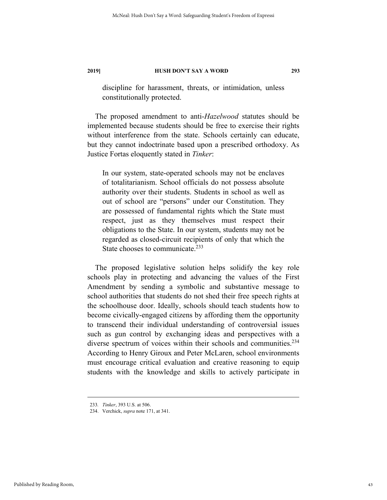discipline for harassment, threats, or intimidation, unless constitutionally protected.

The proposed amendment to anti-*Hazelwood* statutes should be implemented because students should be free to exercise their rights without interference from the state. Schools certainly can educate, but they cannot indoctrinate based upon a prescribed orthodoxy. As Justice Fortas eloquently stated in *Tinker*:

In our system, state-operated schools may not be enclaves of totalitarianism. School officials do not possess absolute authority over their students. Students in school as well as out of school are "persons" under our Constitution. They are possessed of fundamental rights which the State must respect, just as they themselves must respect their obligations to the State. In our system, students may not be regarded as closed-circuit recipients of only that which the State chooses to communicate.<sup>233</sup>

The proposed legislative solution helps solidify the key role schools play in protecting and advancing the values of the First Amendment by sending a symbolic and substantive message to school authorities that students do not shed their free speech rights at the schoolhouse door. Ideally, schools should teach students how to become civically-engaged citizens by affording them the opportunity to transcend their individual understanding of controversial issues such as gun control by exchanging ideas and perspectives with a diverse spectrum of voices within their schools and communities.<sup>234</sup> According to Henry Giroux and Peter McLaren, school environments must encourage critical evaluation and creative reasoning to equip students with the knowledge and skills to actively participate in

 <sup>233</sup>*. Tinker*, 393 U.S. at 506.

 <sup>234.</sup> Verchick, *supra* note 171, at 341.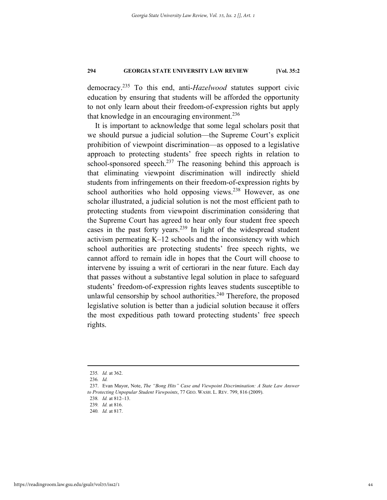democracy.235 To this end, anti-*Hazelwood* statutes support civic education by ensuring that students will be afforded the opportunity to not only learn about their freedom-of-expression rights but apply that knowledge in an encouraging environment.<sup>236</sup>

It is important to acknowledge that some legal scholars posit that we should pursue a judicial solution—the Supreme Court's explicit prohibition of viewpoint discrimination—as opposed to a legislative approach to protecting students' free speech rights in relation to school-sponsored speech.<sup>237</sup> The reasoning behind this approach is that eliminating viewpoint discrimination will indirectly shield students from infringements on their freedom-of-expression rights by school authorities who hold opposing views.<sup>238</sup> However, as one scholar illustrated, a judicial solution is not the most efficient path to protecting students from viewpoint discrimination considering that the Supreme Court has agreed to hear only four student free speech cases in the past forty years.239 In light of the widespread student activism permeating K–12 schools and the inconsistency with which school authorities are protecting students' free speech rights, we cannot afford to remain idle in hopes that the Court will choose to intervene by issuing a writ of certiorari in the near future. Each day that passes without a substantive legal solution in place to safeguard students' freedom-of-expression rights leaves students susceptible to unlawful censorship by school authorities. $240$  Therefore, the proposed legislative solution is better than a judicial solution because it offers the most expeditious path toward protecting students' free speech rights.

 <sup>235</sup>*. Id.* at 362.

<sup>236</sup>*. Id.*

 <sup>237.</sup> Evan Mayor, Note, *The "Bong Hits" Case and Viewpoint Discrimination: A State Law Answer to Protecting Unpopular Student Viewpoints*, 77 GEO. WASH. L. REV. 799, 816 (2009).

<sup>238</sup>*. Id.* at 812–13.

<sup>239</sup>*. Id.* at 816.

<sup>240</sup>*. Id.* at 817.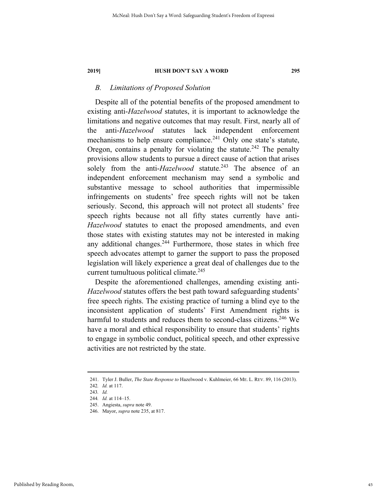### *B. Limitations of Proposed Solution*

Despite all of the potential benefits of the proposed amendment to existing anti-*Hazelwood* statutes, it is important to acknowledge the limitations and negative outcomes that may result. First, nearly all of the anti-*Hazelwood* statutes lack independent enforcement mechanisms to help ensure compliance.<sup>241</sup> Only one state's statute, Oregon, contains a penalty for violating the statute.<sup>242</sup> The penalty provisions allow students to pursue a direct cause of action that arises solely from the anti-*Hazelwood* statute.<sup>243</sup> The absence of an independent enforcement mechanism may send a symbolic and substantive message to school authorities that impermissible infringements on students' free speech rights will not be taken seriously. Second, this approach will not protect all students' free speech rights because not all fifty states currently have anti-*Hazelwood* statutes to enact the proposed amendments, and even those states with existing statutes may not be interested in making any additional changes.<sup>244</sup> Furthermore, those states in which free speech advocates attempt to garner the support to pass the proposed legislation will likely experience a great deal of challenges due to the current tumultuous political climate.<sup>245</sup>

Despite the aforementioned challenges, amending existing anti-*Hazelwood* statutes offers the best path toward safeguarding students' free speech rights. The existing practice of turning a blind eye to the inconsistent application of students' First Amendment rights is harmful to students and reduces them to second-class citizens.<sup>246</sup> We have a moral and ethical responsibility to ensure that students' rights to engage in symbolic conduct, political speech, and other expressive activities are not restricted by the state.

 <sup>241.</sup> Tyler J. Buller, *The State Response to* Hazelwood v. Kuhlmeier, 66 ME. L. REV. 89, 116 (2013).

<sup>242</sup>*. Id.* at 117.

<sup>243</sup>*. Id.*

<sup>244</sup>*. Id.* at 114–15.

 <sup>245.</sup> Angiesta, *supra* note 49.

 <sup>246.</sup> Mayor, *supra* note 235, at 817.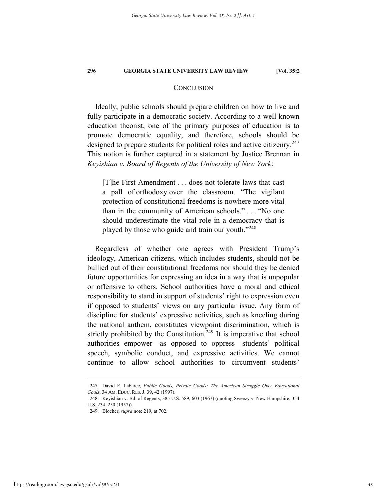#### **CONCLUSION**

Ideally, public schools should prepare children on how to live and fully participate in a democratic society. According to a well-known education theorist, one of the primary purposes of education is to promote democratic equality, and therefore, schools should be designed to prepare students for political roles and active citizenry.<sup>247</sup> This notion is further captured in a statement by Justice Brennan in *Keyishian v. Board of Regents of the University of New York*:

[T]he First Amendment . . . does not tolerate laws that cast a pall of orthodoxy over the classroom. "The vigilant protection of constitutional freedoms is nowhere more vital than in the community of American schools." . . . "No one should underestimate the vital role in a democracy that is played by those who guide and train our youth."248

Regardless of whether one agrees with President Trump's ideology, American citizens, which includes students, should not be bullied out of their constitutional freedoms nor should they be denied future opportunities for expressing an idea in a way that is unpopular or offensive to others. School authorities have a moral and ethical responsibility to stand in support of students' right to expression even if opposed to students' views on any particular issue. Any form of discipline for students' expressive activities, such as kneeling during the national anthem, constitutes viewpoint discrimination, which is strictly prohibited by the Constitution.<sup>249</sup> It is imperative that school authorities empower—as opposed to oppress—students' political speech, symbolic conduct, and expressive activities. We cannot continue to allow school authorities to circumvent students'

 <sup>247.</sup> David F. Labaree, *Public Goods, Private Goods: The American Struggle Over Educational Goals*, 34 AM. EDUC. RES. J. 39, 42 (1997).

 <sup>248.</sup> Keyishian v. Bd. of Regents, 385 U.S. 589, 603 (1967) (quoting Sweezy v. New Hampshire, 354 U.S. 234, 250 (1957)).

 <sup>249.</sup> Blocher, *supra* note 219, at 702.